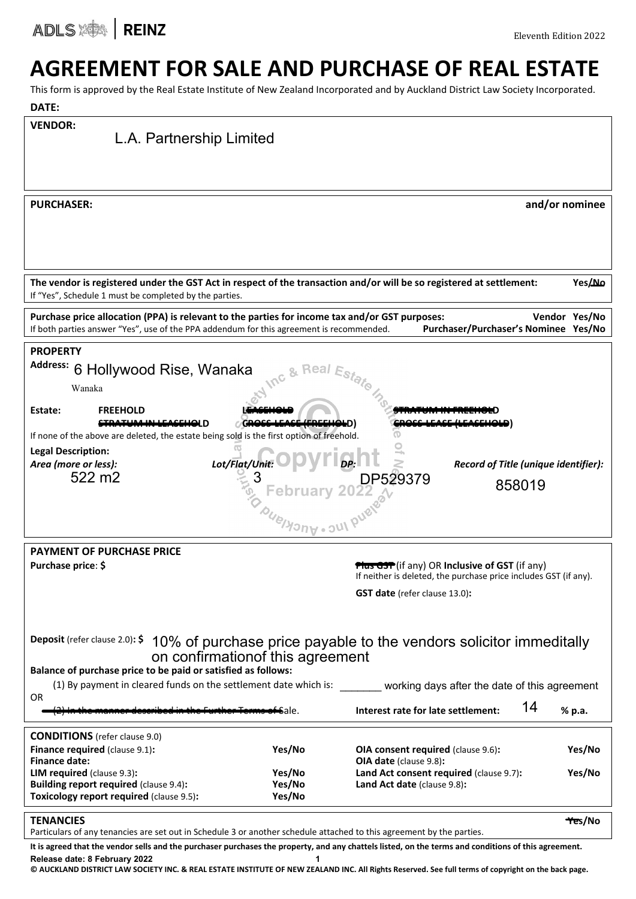ADLS **ADLS** 

# AGREEMENT FOR SALE AND PURCHASE OF REAL ESTATE

This form is approved by the Real Estate Institute of New Zealand Incorporated and by Auckland District Law Society Incorporated.

| rnis ionii is approved by the Near Estate mstitute or New Zealand incorporated and by Auckland District Law Society incorporated.                    |        |                                                                    |                |
|------------------------------------------------------------------------------------------------------------------------------------------------------|--------|--------------------------------------------------------------------|----------------|
| DATE:                                                                                                                                                |        |                                                                    |                |
| <b>VENDOR:</b>                                                                                                                                       |        |                                                                    |                |
| L.A. Partnership Limited                                                                                                                             |        |                                                                    |                |
|                                                                                                                                                      |        |                                                                    |                |
|                                                                                                                                                      |        |                                                                    |                |
|                                                                                                                                                      |        |                                                                    |                |
| <b>PURCHASER:</b>                                                                                                                                    |        |                                                                    | and/or nominee |
|                                                                                                                                                      |        |                                                                    |                |
|                                                                                                                                                      |        |                                                                    |                |
|                                                                                                                                                      |        |                                                                    |                |
|                                                                                                                                                      |        |                                                                    |                |
|                                                                                                                                                      |        |                                                                    |                |
| The vendor is registered under the GST Act in respect of the transaction and/or will be so registered at settlement:                                 |        |                                                                    | <b>ALG</b>     |
| If "Yes", Schedule 1 must be completed by the parties.                                                                                               |        |                                                                    |                |
| Purchase price allocation (PPA) is relevant to the parties for income tax and/or GST purposes:                                                       |        |                                                                    | Vendor Yes/No  |
| If both parties answer "Yes", use of the PPA addendum for this agreement is recommended.                                                             |        | Purchaser/Purchaser's Nominee Yes/No                               |                |
| <b>PROPERTY</b>                                                                                                                                      |        |                                                                    |                |
| <b>Address:</b>                                                                                                                                      |        |                                                                    |                |
| 6 Hollywood Rise, Wanaka                                                                                                                             |        |                                                                    |                |
| Wanaka                                                                                                                                               |        |                                                                    |                |
| Estate:<br><b>FREEHOLD</b>                                                                                                                           |        |                                                                    |                |
|                                                                                                                                                      |        |                                                                    |                |
| If none of the above are deleted, the estate being sold is the first option of freehold.                                                             |        |                                                                    |                |
| <b>Legal Description:</b>                                                                                                                            |        |                                                                    |                |
| Lot/Flat/Unit:<br>Area (more or less):                                                                                                               |        | $\bigcap_{DP} \bigcap$<br>Record of Title (unique identifier):     |                |
| 522 m2                                                                                                                                               |        |                                                                    |                |
|                                                                                                                                                      |        | 858019                                                             |                |
|                                                                                                                                                      |        |                                                                    |                |
|                                                                                                                                                      |        | February 2022 29379                                                |                |
|                                                                                                                                                      |        |                                                                    |                |
| <b>PAYMENT OF PURCHASE PRICE</b>                                                                                                                     |        |                                                                    |                |
| Purchase price: \$                                                                                                                                   |        | <b>Plus GST</b> (if any) OR Inclusive of GST (if any)              |                |
|                                                                                                                                                      |        | If neither is deleted, the purchase price includes GST (if any).   |                |
|                                                                                                                                                      |        | <b>GST date</b> (refer clause 13.0):                               |                |
|                                                                                                                                                      |        |                                                                    |                |
|                                                                                                                                                      |        |                                                                    |                |
| Deposit (refer clause 2.0): \$                                                                                                                       |        | 10% of purchase price payable to the vendors solicitor immeditally |                |
| on confirmation of this agreement                                                                                                                    |        |                                                                    |                |
| Balance of purchase price to be paid or satisfied as follows:                                                                                        |        |                                                                    |                |
| (1) By payment in cleared funds on the settlement date which is:                                                                                     |        | working days after the date of this agreement                      |                |
| OR                                                                                                                                                   |        |                                                                    |                |
|                                                                                                                                                      | ∱Sale. | 14<br>Interest rate for late settlement:                           | % p.a.         |
|                                                                                                                                                      |        |                                                                    |                |
| <b>CONDITIONS</b> (refer clause 9.0)                                                                                                                 |        |                                                                    |                |
| <b>Finance required (clause 9.1):</b><br><b>Finance date:</b>                                                                                        | Yes/No | OIA consent required (clause 9.6):<br>OIA date (clause 9.8):       | Yes/No         |
| LIM required (clause 9.3):                                                                                                                           | Yes/No | Land Act consent required (clause 9.7):                            | Yes/No         |
| <b>Building report required (clause 9.4):</b>                                                                                                        | Yes/No | Land Act date (clause 9.8):                                        |                |
| Toxicology report required (clause 9.5):                                                                                                             | Yes/No |                                                                    |                |
|                                                                                                                                                      |        |                                                                    |                |
| <b>TENANCIES</b><br>Particulars of any tenancies are set out in Schedule 3 or another schedule attached to this agreement by the parties.            |        |                                                                    | <b>YES/No</b>  |
| It is agreed that the vendor sells and the purchaser purchases the property, and any chattels listed, on the terms and conditions of this agreement. |        |                                                                    |                |
| Release date: 8 February 2022                                                                                                                        | 1      |                                                                    |                |

© AUCKLAND DISTRICT LAW SOCIETY INC. & REAL ESTATE INSTITUTE OF NEW ZEALAND INC. All Rights Reserved. See full terms of copyright on the back page.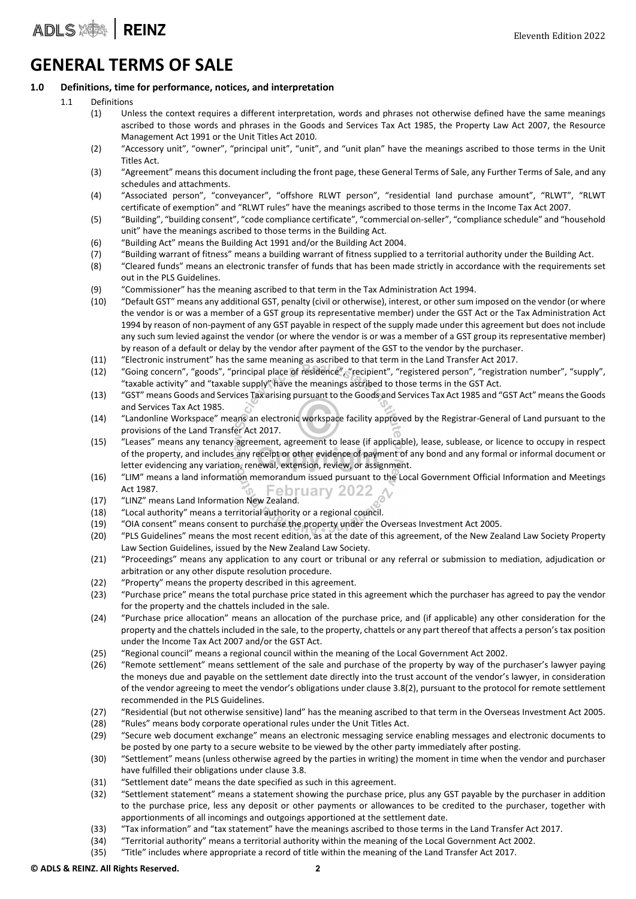ADLS **ADLS** 

### GENERAL TERMS OF SALE

#### 1.0 Definitions, time for performance, notices, and interpretation

- 1.1 Definitions
	- (1) Unless the context requires a different interpretation, words and phrases not otherwise defined have the same meanings ascribed to those words and phrases in the Goods and Services Tax Act 1985, the Property Law Act 2007, the Resource Management Act 1991 or the Unit Titles Act 2010.
	- (2) "Accessory unit", "owner", "principal unit", "unit", and "unit plan" have the meanings ascribed to those terms in the Unit Titles Act.
	- (3) "Agreement" means this document including the front page, these General Terms of Sale, any Further Terms of Sale, and any schedules and attachments.
	- (4) "Associated person", "conveyancer", "offshore RLWT person", "residential land purchase amount", "RLWT", "RLWT certificate of exemption" and "RLWT rules" have the meanings ascribed to those terms in the Income Tax Act 2007.
	- (5) "Building", "building consent", "code compliance certificate", "commercial on‐seller", "compliance schedule" and "household unit" have the meanings ascribed to those terms in the Building Act.
	- (6) "Building Act" means the Building Act 1991 and/or the Building Act 2004.
	- (7) "Building warrant of fitness" means a building warrant of fitness supplied to a territorial authority under the Building Act.
	- (8) "Cleared funds" means an electronic transfer of funds that has been made strictly in accordance with the requirements set out in the PLS Guidelines.
	- (9) "Commissioner" has the meaning ascribed to that term in the Tax Administration Act 1994.
	- (10) "Default GST" means any additional GST, penalty (civil or otherwise), interest, or other sum imposed on the vendor (or where the vendor is or was a member of a GST group its representative member) under the GST Act or the Tax Administration Act 1994 by reason of non‐payment of any GST payable in respect of the supply made under this agreement but does not include any such sum levied against the vendor (or where the vendor is or was a member of a GST group its representative member) by reason of a default or delay by the vendor after payment of the GST to the vendor by the purchaser.
	- (11) "Electronic instrument" has the same meaning as ascribed to that term in the Land Transfer Act 2017.
	- (12) "Going concern", "goods", "principal place of residence", "recipient", "registered person", "registration number", "supply", "taxable activity" and "taxable supply" have the meanings ascribed to those terms in the GST Act.
	- (13) "GST" means Goods and Services Tax arising pursuant to the Goods and Services Tax Act 1985 and "GST Act" meansthe Goods and Services Tax Act 1985.
	- (14) "Landonline Workspace" means an electronic workspace facility approved by the Registrar‐General of Land pursuant to the provisions of the Land Transfer Act 2017.
	- (15) "Leases" means any tenancy agreement, agreement to lease (if applicable), lease, sublease, or licence to occupy in respect of the property, and includes any receipt or other evidence of payment of any bond and any formal or informal document or letter evidencing any variation, renewal, extension, review, or assignment.
	- (16) "LIM" means a land information memorandum issued pursuant to the Local Government Official Information and Meetings Act 1987. Act 1987.<br>(17) "LINZ" means Land Information New Zealand.
	-
	- (18) "Local authority" means a territorial authority or a regional council.
	- (19) "OIA consent" means consent to purchase the property under the Overseas Investment Act 2005.
	- (20) "PLS Guidelines" means the most recent edition, as at the date of this agreement, of the New Zealand Law Society Property Law Section Guidelines, issued by the New Zealand Law Society.
	- (21) "Proceedings" means any application to any court or tribunal or any referral or submission to mediation, adjudication or arbitration or any other dispute resolution procedure.
	- (22) "Property" means the property described in this agreement.
	- (23) "Purchase price" means the total purchase price stated in this agreement which the purchaser has agreed to pay the vendor for the property and the chattels included in the sale.
	- (24) "Purchase price allocation" means an allocation of the purchase price, and (if applicable) any other consideration for the property and the chattels included in the sale, to the property, chattels or any part thereof that affects a person's tax position under the Income Tax Act 2007 and/or the GST Act.
	- (25) "Regional council" means a regional council within the meaning of the Local Government Act 2002.
	- (26) "Remote settlement" means settlement of the sale and purchase of the property by way of the purchaser's lawyer paying the moneys due and payable on the settlement date directly into the trust account of the vendor's lawyer, in consideration of the vendor agreeing to meet the vendor's obligations under clause 3.8(2), pursuant to the protocol for remote settlement recommended in the PLS Guidelines.
	- (27) "Residential (but not otherwise sensitive) land" has the meaning ascribed to that term in the Overseas Investment Act 2005.
	- (28) "Rules" means body corporate operational rules under the Unit Titles Act.
	- (29) "Secure web document exchange" means an electronic messaging service enabling messages and electronic documents to be posted by one party to a secure website to be viewed by the other party immediately after posting.
	- (30) "Settlement" means (unless otherwise agreed by the parties in writing) the moment in time when the vendor and purchaser have fulfilled their obligations under clause 3.8.
	- (31) "Settlement date" means the date specified as such in this agreement.
	- (32) "Settlement statement" means a statement showing the purchase price, plus any GST payable by the purchaser in addition to the purchase price, less any deposit or other payments or allowances to be credited to the purchaser, together with apportionments of all incomings and outgoings apportioned at the settlement date.
	- (33) "Tax information" and "tax statement" have the meanings ascribed to those terms in the Land Transfer Act 2017.
	- (34) "Territorial authority" means a territorial authority within the meaning of the Local Government Act 2002.
	- (35) "Title" includes where appropriate a record of title within the meaning of the Land Transfer Act 2017.

#### © ADLS & REINZ. All Rights Reserved. 2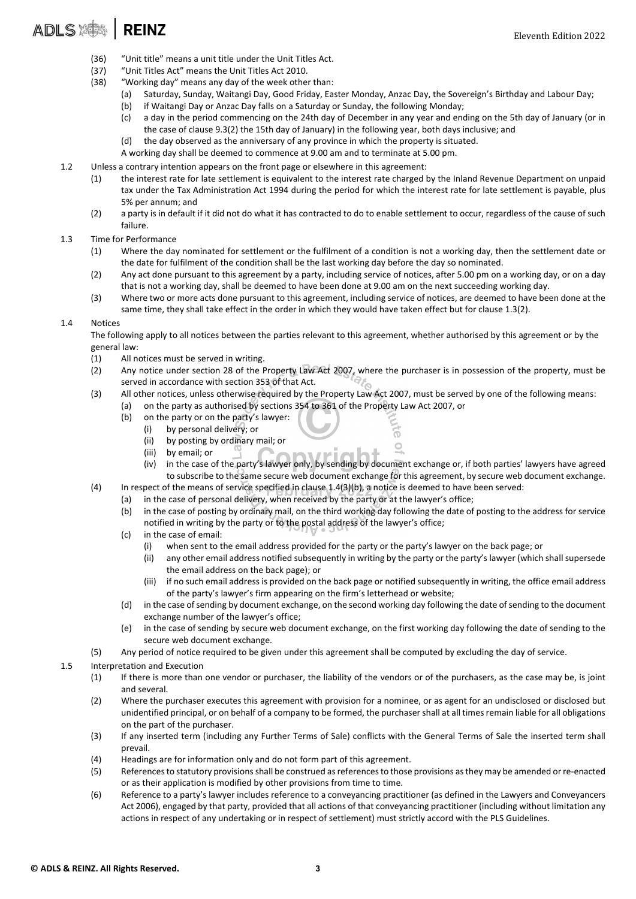# ADLS **ADLS**

- (36) "Unit title" means a unit title under the Unit Titles Act.
- (37) "Unit Titles Act" means the Unit Titles Act 2010.
- (38) "Working day" means any day of the week other than:
	- (a) Saturday, Sunday, Waitangi Day, Good Friday, Easter Monday, Anzac Day, the Sovereign's Birthday and Labour Day;
	- (b) if Waitangi Day or Anzac Day falls on a Saturday or Sunday, the following Monday;
	- (c) a day in the period commencing on the 24th day of December in any year and ending on the 5th day of January (or in the case of clause 9.3(2) the 15th day of January) in the following year, both days inclusive; and
	- (d) the day observed as the anniversary of any province in which the property is situated.

A working day shall be deemed to commence at 9.00 am and to terminate at 5.00 pm.

- 1.2 Unless a contrary intention appears on the front page or elsewhere in this agreement:
	- (1) the interest rate for late settlement is equivalent to the interest rate charged by the Inland Revenue Department on unpaid tax under the Tax Administration Act 1994 during the period for which the interest rate for late settlement is payable, plus 5% per annum; and
	- (2) a party is in default if it did not do what it has contracted to do to enable settlement to occur, regardless of the cause of such failure.

#### 1.3 Time for Performance

- (1) Where the day nominated for settlement or the fulfilment of a condition is not a working day, then the settlement date or the date for fulfilment of the condition shall be the last working day before the day so nominated.
- (2) Any act done pursuant to this agreement by a party, including service of notices, after 5.00 pm on a working day, or on a day that is not a working day, shall be deemed to have been done at 9.00 am on the next succeeding working day.
- (3) Where two or more acts done pursuant to this agreement, including service of notices, are deemed to have been done at the same time, they shall take effect in the order in which they would have taken effect but for clause 1.3(2).

#### 1.4 Notices

The following apply to all notices between the parties relevant to this agreement, whether authorised by this agreement or by the general law:

- (1) All notices must be served in writing.
- (2) Any notice under section 28 of the Property Law Act 2007, where the purchaser is in possession of the property, must be served in accordance with section 353 of that Act.
- (3) All other notices, unless otherwise required by the Property Law Act 2007, must be served by one of the following means: (a) on the party as authorised by sections 354 to 361 of the Property Law Act 2007, or
	- (b) on the party or on the party's lawyer:
		- (i) by personal delivery; or
		- (ii) by posting by ordinary mail; or
		- (iii) by email; or
		- (iv) in the case of the party's lawyer only, by sending by document exchange or, if both parties' lawyers have agreed to subscribe to the same secure web document exchange for this agreement, by secure web document exchange.

6  $\circ$ 

- (4) In respect of the means of service specified in clause 1.4(3)(b), a notice is deemed to have been served:
	- (a) in the case of personal delivery, when received by the party or at the lawyer's office;
		- (b) in the case of posting by ordinary mail, on the third working day following the date of posting to the address for service notified in writing by the party or to the postal address of the lawyer's office;
		- (c) in the case of email:
			- (i) when sent to the email address provided for the party or the party's lawyer on the back page; or
			- (ii) any other email address notified subsequently in writing by the party or the party's lawyer (which shall supersede the email address on the back page); or
			- (iii) if no such email address is provided on the back page or notified subsequently in writing, the office email address of the party's lawyer's firm appearing on the firm's letterhead or website;
		- (d) in the case ofsending by document exchange, on the second working day following the date ofsending to the document exchange number of the lawyer's office;
	- (e) in the case of sending by secure web document exchange, on the first working day following the date of sending to the secure web document exchange.
- (5) Any period of notice required to be given under this agreement shall be computed by excluding the day of service.
- 1.5 Interpretation and Execution
	- (1) If there is more than one vendor or purchaser, the liability of the vendors or of the purchasers, as the case may be, is joint and several.
	- (2) Where the purchaser executes this agreement with provision for a nominee, or as agent for an undisclosed or disclosed but unidentified principal, or on behalf of a company to be formed, the purchasershall at all timesremain liable for all obligations on the part of the purchaser.
	- (3) If any inserted term (including any Further Terms of Sale) conflicts with the General Terms of Sale the inserted term shall prevail.
	- (4) Headings are for information only and do not form part of this agreement.
	- (5) Referencesto statutory provisionsshall be construed asreferencesto those provisions asthey may be amended orre‐enacted or as their application is modified by other provisions from time to time.
	- (6) Reference to a party's lawyer includes reference to a conveyancing practitioner (as defined in the Lawyers and Conveyancers Act 2006), engaged by that party, provided that all actions of that conveyancing practitioner (including without limitation any actions in respect of any undertaking or in respect of settlement) must strictly accord with the PLS Guidelines.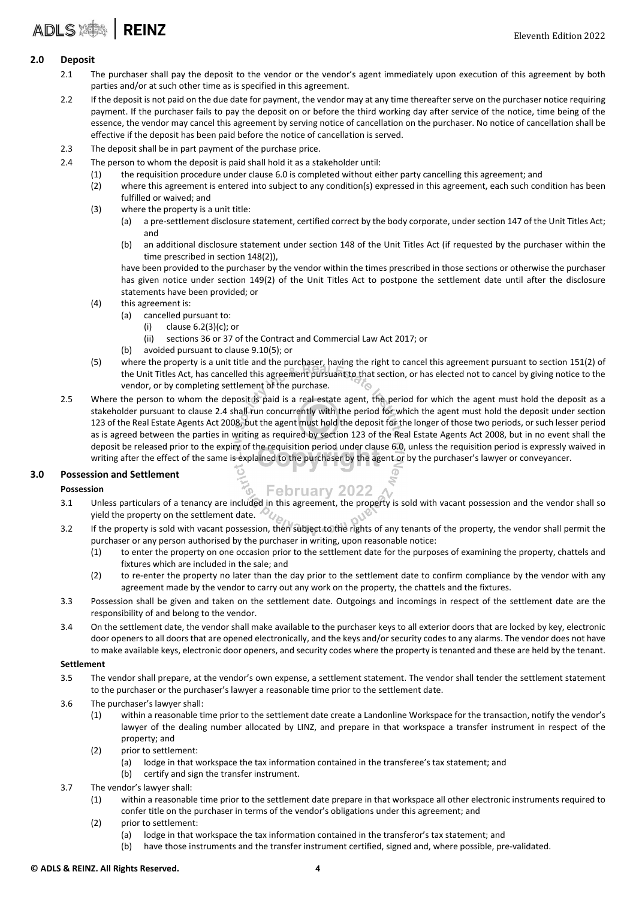#### 2.0 Deposit

- 2.1 The purchaser shall pay the deposit to the vendor or the vendor's agent immediately upon execution of this agreement by both parties and/or at such other time as is specified in this agreement.
- 2.2 If the deposit is not paid on the due date for payment, the vendor may at any time thereafter serve on the purchaser notice requiring payment. If the purchaser fails to pay the deposit on or before the third working day after service of the notice, time being of the essence, the vendor may cancel this agreement by serving notice of cancellation on the purchaser. No notice of cancellation shall be effective if the deposit has been paid before the notice of cancellation is served.
- 2.3 The deposit shall be in part payment of the purchase price.
- 2.4 The person to whom the deposit is paid shall hold it as a stakeholder until:
	- (1) the requisition procedure under clause 6.0 is completed without either party cancelling this agreement; and
	- (2) where this agreement is entered into subject to any condition(s) expressed in this agreement, each such condition has been fulfilled or waived; and
	- (3) where the property is a unit title:
		- (a) a pre‐settlement disclosure statement, certified correct by the body corporate, under section 147 of the Unit Titles Act; and
		- (b) an additional disclosure statement under section 148 of the Unit Titles Act (if requested by the purchaser within the time prescribed in section 148(2)),

have been provided to the purchaser by the vendor within the times prescribed in those sections or otherwise the purchaser has given notice under section 149(2) of the Unit Titles Act to postpone the settlement date until after the disclosure statements have been provided; or

- (4) this agreement is:
	- (a) cancelled pursuant to:
		- (i) clause 6.2(3)(c); or
		- (ii) sections 36 or 37 of the Contract and Commercial Law Act 2017; or
	- (b) avoided pursuant to clause 9.10(5); or
- (5) where the property is a unit title and the purchaser, having the right to cancel this agreement pursuant to section 151(2) of the Unit Titles Act, has cancelled this agreement pursuant to that section, or has elected not to cancel by giving notice to the vendor, or by completing settlement of the purchase. ′◎
- 2.5 Where the person to whom the deposit is paid is a real estate agent, the period for which the agent must hold the deposit as a stakeholder pursuant to clause 2.4 shall run concurrently with the period for which the agent must hold the deposit under section 123 of the Real Estate Agents Act 2008, but the agent must hold the deposit for the longer of those two periods, or such lesser period as is agreed between the parties in writing as required by section 123 of the Real Estate Agents Act 2008, but in no event shall the deposit be released prior to the expiry of the requisition period under clause 6.0, unless the requisition period is expressly waived in writing after the effect of the same is explained to the purchaser by the agent or by the purchaser's lawyer or conveyancer.

#### 3.0 Possession and Settlement

#### Possession

- **February 2022** 3.1 Unless particulars of a tenancy are included in this agreement, the property is sold with vacant possession and the vendor shall so yield the property on the settlement date.  $\mathcal{D}_{\mathcal{U}_{\beta 2}}$
- 3.2 If the property is sold with vacant possession, then subject to the rights of any tenants of the property, the vendor shall permit the purchaser or any person authorised by the purchaser in writing, upon reasonable notice:
	- (1) to enter the property on one occasion prior to the settlement date for the purposes of examining the property, chattels and fixtures which are included in the sale; and
	- (2) to re‐enter the property no later than the day prior to the settlement date to confirm compliance by the vendor with any agreement made by the vendor to carry out any work on the property, the chattels and the fixtures.
- 3.3 Possession shall be given and taken on the settlement date. Outgoings and incomings in respect of the settlement date are the responsibility of and belong to the vendor.
- 3.4 On the settlement date, the vendor shall make available to the purchaser keys to all exterior doors that are locked by key, electronic door openers to all doors that are opened electronically, and the keys and/or security codes to any alarms. The vendor does not have to make available keys, electronic door openers, and security codes where the property is tenanted and these are held by the tenant.

#### Settlement

- 3.5 The vendor shall prepare, at the vendor's own expense, a settlement statement. The vendor shall tender the settlement statement to the purchaser or the purchaser's lawyer a reasonable time prior to the settlement date.
- 3.6 The purchaser's lawyer shall:
	- (1) within a reasonable time prior to the settlement date create a Landonline Workspace for the transaction, notify the vendor's lawyer of the dealing number allocated by LINZ, and prepare in that workspace a transfer instrument in respect of the property; and
	- (2) prior to settlement:
		- (a) lodge in that workspace the tax information contained in the transferee's tax statement; and
		- (b) certify and sign the transfer instrument.
- 3.7 The vendor's lawyer shall:
	- (1) within a reasonable time prior to the settlement date prepare in that workspace all other electronic instruments required to confer title on the purchaser in terms of the vendor's obligations under this agreement; and
	- (2) prior to settlement:
		- (a) lodge in that workspace the tax information contained in the transferor's tax statement; and
		- (b) have those instruments and the transfer instrument certified, signed and, where possible, pre-validated.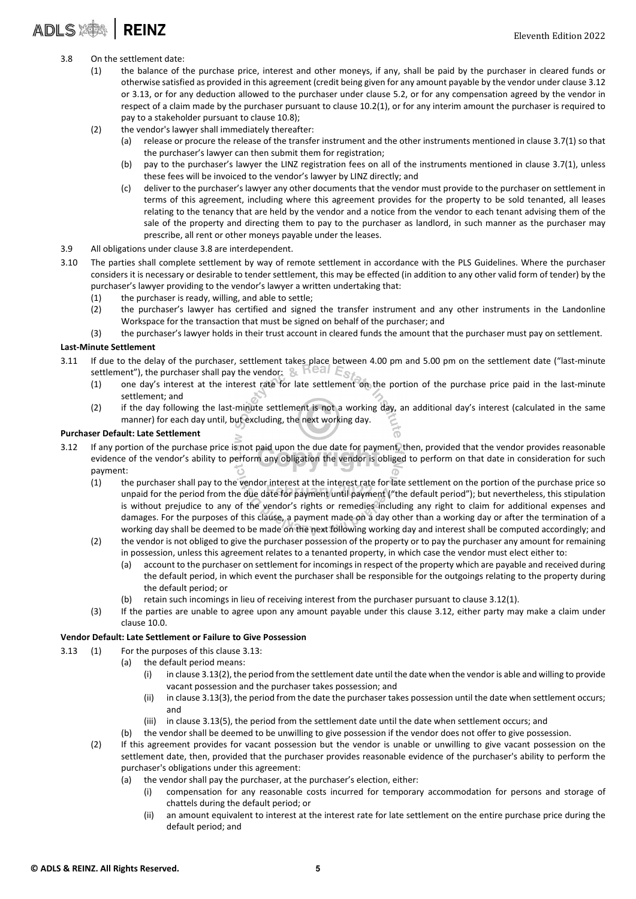# ADLS : SA | REINZ

- 3.8 On the settlement date:
	- (1) the balance of the purchase price, interest and other moneys, if any, shall be paid by the purchaser in cleared funds or otherwise satisfied as provided in this agreement (credit being given for any amount payable by the vendor under clause 3.12 or 3.13, or for any deduction allowed to the purchaser under clause 5.2, or for any compensation agreed by the vendor in respect of a claim made by the purchaser pursuant to clause 10.2(1), or for any interim amount the purchaser is required to pay to a stakeholder pursuant to clause 10.8);
	- (2) the vendor's lawyer shall immediately thereafter:
		- (a) release or procure the release of the transfer instrument and the other instruments mentioned in clause 3.7(1) so that the purchaser's lawyer can then submit them for registration;
		- (b) pay to the purchaser's lawyer the LINZ registration fees on all of the instruments mentioned in clause 3.7(1), unless these fees will be invoiced to the vendor's lawyer by LINZ directly; and
		- (c) deliver to the purchaser's lawyer any other documents that the vendor must provide to the purchaser on settlement in terms of this agreement, including where this agreement provides for the property to be sold tenanted, all leases relating to the tenancy that are held by the vendor and a notice from the vendor to each tenant advising them of the sale of the property and directing them to pay to the purchaser as landlord, in such manner as the purchaser may prescribe, all rent or other moneys payable under the leases.
- 3.9 All obligations under clause 3.8 are interdependent.
- 3.10 The parties shall complete settlement by way of remote settlement in accordance with the PLS Guidelines. Where the purchaser considers it is necessary or desirable to tender settlement, this may be effected (in addition to any other valid form of tender) by the purchaser's lawyer providing to the vendor's lawyer a written undertaking that:
	- (1) the purchaser is ready, willing, and able to settle;
	- (2) the purchaser's lawyer has certified and signed the transfer instrument and any other instruments in the Landonline Workspace for the transaction that must be signed on behalf of the purchaser; and
	- (3) the purchaser's lawyer holds in their trust account in cleared funds the amount that the purchaser must pay on settlement.

#### Last‐Minute Settlement

- 3.11 If due to the delay of the purchaser, settlement takes place between 4.00 pm and 5.00 pm on the settlement date ("last-minute settlement"), the purchaser shall pay the vendor:  $\&$   $\mathbb{H}^{\ominus}$  all  $E_{\mathbb{S}^{\circ}}$ 
	- (1) one day's interest at the interest rate for late settlement on the portion of the purchase price paid in the last‐minute settlement; and
	- (2) if the day following the last-minute settlement is not a working day, an additional day's interest (calculated in the same manner) for each day until, but excluding, the next working day.

#### Purchaser Default: Late Settlement

- 3.12 If any portion of the purchase price is not paid upon the due date for payment, then, provided that the vendor provides reasonable evidence of the vendor's ability to perform any obligation the vendor is obliged to perform on that date in consideration for such payment:
	- (1) the purchaser shall pay to the vendor interest at the interest rate for late settlement on the portion of the purchase price so unpaid for the period from the due date for payment until payment ("the default period"); but nevertheless, this stipulation is without prejudice to any of the vendor's rights or remedies including any right to claim for additional expenses and damages. For the purposes of this clause, a payment made on a day other than a working day or after the termination of a working day shall be deemed to be made on the next following working day and interest shall be computed accordingly; and
	- (2) the vendor is not obliged to give the purchaser possession of the property or to pay the purchaser any amount for remaining in possession, unless this agreement relates to a tenanted property, in which case the vendor must elect either to:
		- (a) account to the purchaser on settlement for incomings in respect of the property which are payable and received during the default period, in which event the purchaser shall be responsible for the outgoings relating to the property during the default period; or
		- (b) retain such incomings in lieu of receiving interest from the purchaser pursuant to clause 3.12(1).
	- (3) If the parties are unable to agree upon any amount payable under this clause 3.12, either party may make a claim under clause 10.0.

#### Vendor Default: Late Settlement or Failure to Give Possession

- 3.13 (1) For the purposes of this clause 3.13:
	- (a) the default period means:
		- (i) in clause 3.13(2), the period from the settlement date until the date when the vendor is able and willing to provide vacant possession and the purchaser takes possession; and
		- (ii) in clause 3.13(3), the period from the date the purchaser takes possession until the date when settlement occurs; and
		- (iii) in clause 3.13(5), the period from the settlement date until the date when settlement occurs; and
		- (b) the vendor shall be deemed to be unwilling to give possession if the vendor does not offer to give possession.
	- (2) If this agreement provides for vacant possession but the vendor is unable or unwilling to give vacant possession on the settlement date, then, provided that the purchaser provides reasonable evidence of the purchaser's ability to perform the purchaser's obligations under this agreement:
		- (a) the vendor shall pay the purchaser, at the purchaser's election, either:
			- (i) compensation for any reasonable costs incurred for temporary accommodation for persons and storage of chattels during the default period; or
			- (ii) an amount equivalent to interest at the interest rate for late settlement on the entire purchase price during the default period; and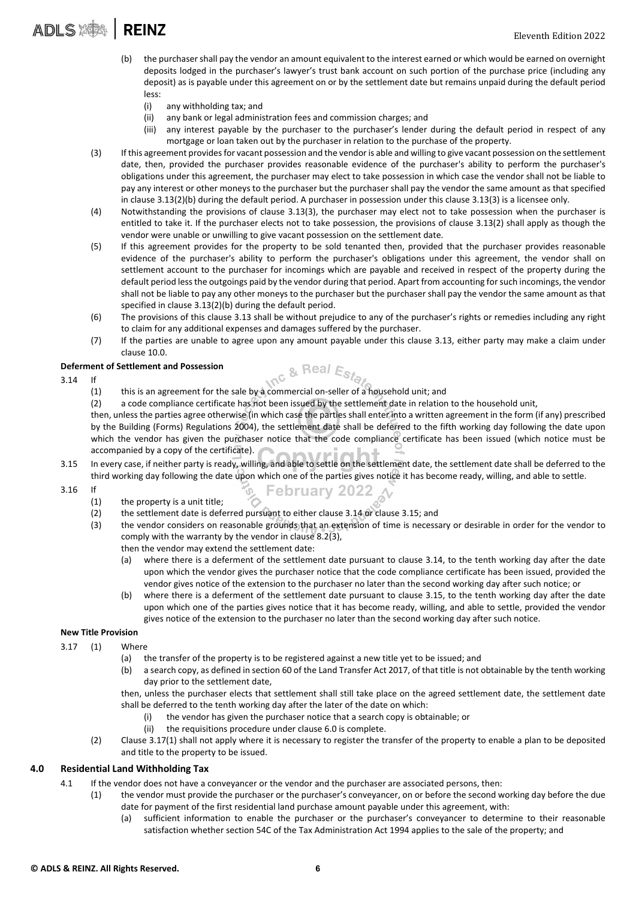- (b) the purchasershall pay the vendor an amount equivalent to the interest earned or which would be earned on overnight deposits lodged in the purchaser's lawyer's trust bank account on such portion of the purchase price (including any deposit) as is payable under this agreement on or by the settlement date but remains unpaid during the default period less:
	- (i) any withholding tax; and
	- (ii) any bank or legal administration fees and commission charges; and
	- (iii) any interest payable by the purchaser to the purchaser's lender during the default period in respect of any mortgage or loan taken out by the purchaser in relation to the purchase of the property.
- (3) If this agreement providesfor vacant possession and the vendoris able and willing to give vacant possession on the settlement date, then, provided the purchaser provides reasonable evidence of the purchaser's ability to perform the purchaser's obligations under this agreement, the purchaser may elect to take possession in which case the vendor shall not be liable to pay any interest or other moneys to the purchaser but the purchaser shall pay the vendor the same amount as that specified in clause 3.13(2)(b) during the default period. A purchaser in possession under this clause 3.13(3) is a licensee only.
- (4) Notwithstanding the provisions of clause 3.13(3), the purchaser may elect not to take possession when the purchaser is entitled to take it. If the purchaser elects not to take possession, the provisions of clause 3.13(2) shall apply as though the vendor were unable or unwilling to give vacant possession on the settlement date.
- (5) If this agreement provides for the property to be sold tenanted then, provided that the purchaser provides reasonable evidence of the purchaser's ability to perform the purchaser's obligations under this agreement, the vendor shall on settlement account to the purchaser for incomings which are payable and received in respect of the property during the default period lessthe outgoings paid by the vendor during that period. Apart from accounting forsuch incomings, the vendor shall not be liable to pay any other moneys to the purchaser but the purchaser shall pay the vendor the same amount as that specified in clause 3.13(2)(b) during the default period.
- (6) The provisions of this clause 3.13 shall be without prejudice to any of the purchaser's rights or remedies including any right to claim for any additional expenses and damages suffered by the purchaser.
- (7) If the parties are unable to agree upon any amount payable under this clause 3.13, either party may make a claim under clause 10.0.

#### Deferment of Settlement and Possession

- 3.14 If
- Inc & Real Estat (1) this is an agreement for the sale by a commercial on‐seller of a household unit; and
	- (2) a code compliance certificate has not been issued by the settlement date in relation to the household unit,

then, unless the parties agree otherwise (in which case the parties shall enter into a written agreement in the form (if any) prescribed by the Building (Forms) Regulations 2004), the settlement date shall be deferred to the fifth working day following the date upon which the vendor has given the purchaser notice that the code compliance certificate has been issued (which notice must be accompanied by a copy of the certificate).

3.15 In every case, if neither party is ready, willing, and able to settle on the settlement date, the settlement date shall be deferred to the third working day following the date upon which one of the parties gives notice it has become ready, willing, and able to settle.

**February 2022** 

- 3.16 If
	- (1) the property is a unit title;
	- (2) the settlement date is deferred pursuant to either clause 3.14 or clause 3.15; and
	- (3) the vendor considers on reasonable grounds that an extension of time is necessary or desirable in order for the vendor to comply with the warranty by the vendor in clause 8.2(3),
		- then the vendor may extend the settlement date:
		- (a) where there is a deferment of the settlement date pursuant to clause 3.14, to the tenth working day after the date upon which the vendor gives the purchaser notice that the code compliance certificate has been issued, provided the vendor gives notice of the extension to the purchaser no later than the second working day after such notice; or
		- (b) where there is a deferment of the settlement date pursuant to clause 3.15, to the tenth working day after the date upon which one of the parties gives notice that it has become ready, willing, and able to settle, provided the vendor gives notice of the extension to the purchaser no later than the second working day after such notice.

#### New Title Provision

- 3.17 (1) Where
	- (a) the transfer of the property is to be registered against a new title yet to be issued; and
	- (b) a search copy, as defined in section 60 of the Land Transfer Act 2017, of that title is not obtainable by the tenth working day prior to the settlement date,

then, unless the purchaser elects that settlement shall still take place on the agreed settlement date, the settlement date shall be deferred to the tenth working day after the later of the date on which:

- (i) the vendor has given the purchaser notice that a search copy is obtainable; or
- (ii) the requisitions procedure under clause 6.0 is complete.
- (2) Clause 3.17(1) shall not apply where it is necessary to register the transfer of the property to enable a plan to be deposited and title to the property to be issued.

#### 4.0 Residential Land Withholding Tax

- 4.1 If the vendor does not have a conveyancer or the vendor and the purchaser are associated persons, then:
	- (1) the vendor must provide the purchaser or the purchaser's conveyancer, on or before the second working day before the due date for payment of the first residential land purchase amount payable under this agreement, with:
		- (a) sufficient information to enable the purchaser or the purchaser's conveyancer to determine to their reasonable satisfaction whether section 54C of the Tax Administration Act 1994 applies to the sale of the property; and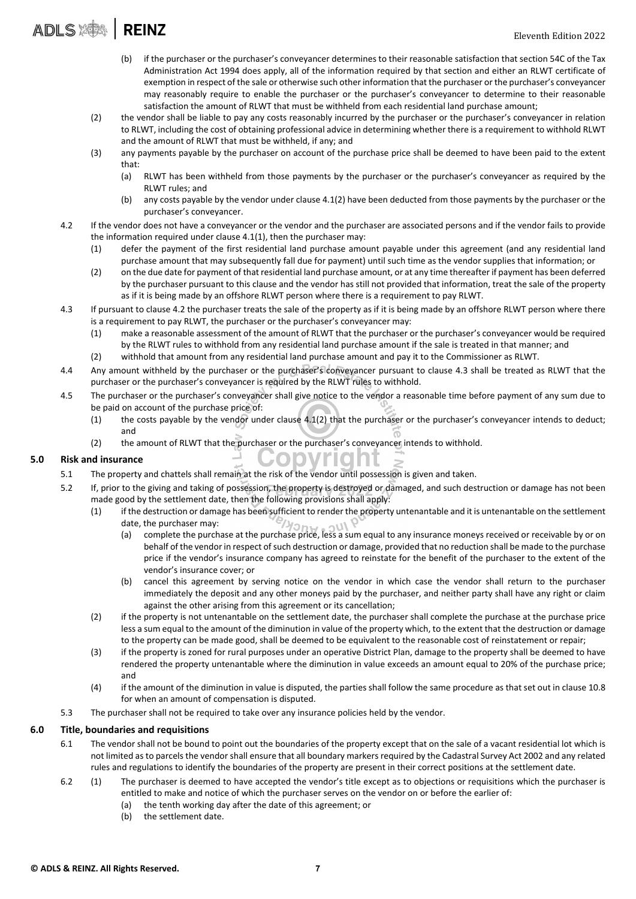- (b) if the purchaser or the purchaser's conveyancer determines to their reasonable satisfaction that section 54C of the Tax Administration Act 1994 does apply, all of the information required by that section and either an RLWT certificate of exemption in respect of the sale or otherwise such other information that the purchaser or the purchaser's conveyancer may reasonably require to enable the purchaser or the purchaser's conveyancer to determine to their reasonable satisfaction the amount of RLWT that must be withheld from each residential land purchase amount;
- (2) the vendor shall be liable to pay any costs reasonably incurred by the purchaser or the purchaser's conveyancer in relation to RLWT, including the cost of obtaining professional advice in determining whether there is a requirement to withhold RLWT and the amount of RLWT that must be withheld, if any; and
- (3) any payments payable by the purchaser on account of the purchase price shall be deemed to have been paid to the extent that:
	- (a) RLWT has been withheld from those payments by the purchaser or the purchaser's conveyancer as required by the RLWT rules; and
	- (b) any costs payable by the vendor under clause 4.1(2) have been deducted from those payments by the purchaser or the purchaser's conveyancer.
- 4.2 If the vendor does not have a conveyancer or the vendor and the purchaser are associated persons and if the vendor fails to provide the information required under clause 4.1(1), then the purchaser may:
	- (1) defer the payment of the first residential land purchase amount payable under this agreement (and any residential land purchase amount that may subsequently fall due for payment) until such time as the vendor supplies that information; or
	- (2) on the due date for payment of that residential land purchase amount, or at any time thereafter if payment has been deferred by the purchaser pursuant to this clause and the vendor has still not provided that information, treat the sale of the property as if it is being made by an offshore RLWT person where there is a requirement to pay RLWT.
- 4.3 If pursuant to clause 4.2 the purchaser treats the sale of the property as if it is being made by an offshore RLWT person where there is a requirement to pay RLWT, the purchaser or the purchaser's conveyancer may:
	- (1) make a reasonable assessment of the amount of RLWT that the purchaser or the purchaser's conveyancer would be required by the RLWT rules to withhold from any residential land purchase amount if the sale is treated in that manner; and
	- (2) withhold that amount from any residential land purchase amount and pay it to the Commissioner as RLWT.
- 4.4 Any amount withheld by the purchaser or the purchaser's conveyancer pursuant to clause 4.3 shall be treated as RLWT that the purchaser or the purchaser's conveyancer is required by the RLWT rules to withhold.
- 4.5 The purchaser or the purchaser's conveyancer shall give notice to the vendor a reasonable time before payment of any sum due to be paid on account of the purchase price of:
	- $(1)$  the costs payable by the vendor under clause 4.1(2) that the purchaser or the purchaser's conveyancer intends to deduct; and
	- (2) the amount of RLWT that the purchaser or the purchaser's conveyancer intends to withhold.

#### 5.0 Risk and insurance

- 5.1 The property and chattels shall remain at the risk of the vendor until possession is given and taken.
- 5.2 If, prior to the giving and taking of possession, the property is destroyed or damaged, and such destruction or damage has not been made good by the settlement date, then the following provisions shall apply:
	- (1) if the destruction or damage has been sufficient to render the property untenantable and it is untenantable on the settlement date, the purchaser may:
		- (a) complete the purchase at the purchase price, less a sum equal to any insurance moneys received or receivable by or on behalf of the vendor in respect of such destruction or damage, provided that no reduction shall be made to the purchase price if the vendor's insurance company has agreed to reinstate for the benefit of the purchaser to the extent of the vendor's insurance cover; or
		- (b) cancel this agreement by serving notice on the vendor in which case the vendor shall return to the purchaser immediately the deposit and any other moneys paid by the purchaser, and neither party shall have any right or claim against the other arising from this agreement or its cancellation;
	- (2) if the property is not untenantable on the settlement date, the purchaser shall complete the purchase at the purchase price less a sum equal to the amount of the diminution in value of the property which, to the extent that the destruction or damage to the property can be made good, shall be deemed to be equivalent to the reasonable cost of reinstatement or repair;
	- (3) if the property is zoned for rural purposes under an operative District Plan, damage to the property shall be deemed to have rendered the property untenantable where the diminution in value exceeds an amount equal to 20% of the purchase price; and
	- (4) if the amount of the diminution in value is disputed, the parties shall follow the same procedure as that set out in clause 10.8 for when an amount of compensation is disputed.
- 5.3 The purchaser shall not be required to take over any insurance policies held by the vendor.

#### 6.0 Title, boundaries and requisitions

- 6.1 The vendor shall not be bound to point out the boundaries of the property except that on the sale of a vacant residential lot which is not limited as to parcels the vendor shall ensure that all boundary markers required by the Cadastral Survey Act 2002 and any related rules and regulations to identify the boundaries of the property are present in their correct positions at the settlement date.
- 6.2 (1) The purchaser is deemed to have accepted the vendor's title except as to objections or requisitions which the purchaser is entitled to make and notice of which the purchaser serves on the vendor on or before the earlier of:
	- (a) the tenth working day after the date of this agreement; or
	- (b) the settlement date.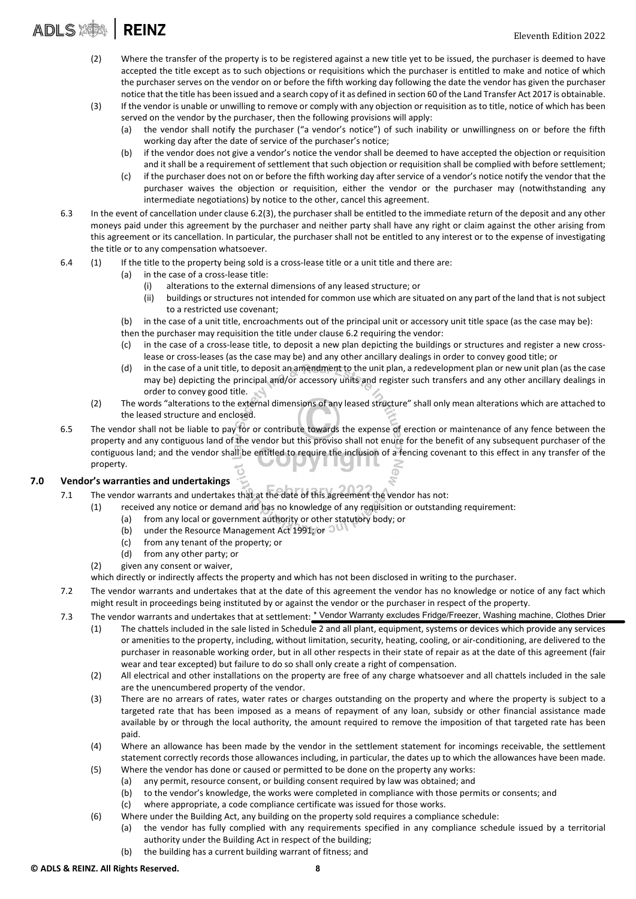### **ADLS AS REINZ**

- (2) Where the transfer of the property is to be registered against a new title yet to be issued, the purchaser is deemed to have accepted the title except as to such objections or requisitions which the purchaser is entitled to make and notice of which the purchaser serves on the vendor on or before the fifth working day following the date the vendor has given the purchaser notice that the title has been issued and a search copy of it as defined in section 60 of the Land Transfer Act 2017 is obtainable.
- (3) If the vendor is unable or unwilling to remove or comply with any objection or requisition as to title, notice of which has been served on the vendor by the purchaser, then the following provisions will apply:
	- (a) the vendor shall notify the purchaser ("a vendor's notice") of such inability or unwillingness on or before the fifth working day after the date of service of the purchaser's notice;
	- (b) if the vendor does not give a vendor's notice the vendor shall be deemed to have accepted the objection or requisition and it shall be a requirement of settlement that such objection or requisition shall be complied with before settlement;
	- (c) if the purchaser does not on or before the fifth working day after service of a vendor's notice notify the vendor that the purchaser waives the objection or requisition, either the vendor or the purchaser may (notwithstanding any intermediate negotiations) by notice to the other, cancel this agreement.
- 6.3 In the event of cancellation under clause 6.2(3), the purchaser shall be entitled to the immediate return of the deposit and any other moneys paid under this agreement by the purchaser and neither party shall have any right or claim against the other arising from this agreement or its cancellation. In particular, the purchaser shall not be entitled to any interest or to the expense of investigating the title or to any compensation whatsoever.
- 6.4 (1) If the title to the property being sold is a cross-lease title or a unit title and there are:
	- (a) in the case of a cross‐lease title:
		- (i) alterations to the external dimensions of any leased structure; or
		- (ii) buildings or structures not intended for common use which are situated on any part of the land that is not subject to a restricted use covenant;
	- (b) in the case of a unit title, encroachments out of the principal unit or accessory unit title space (as the case may be):
	- then the purchaser may requisition the title under clause 6.2 requiring the vendor:
	- (c) in the case of a cross‐lease title, to deposit a new plan depicting the buildings or structures and register a new cross‐ lease or cross‐leases (as the case may be) and any other ancillary dealings in order to convey good title; or
	- (d) in the case of a unit title, to deposit an amendment to the unit plan, a redevelopment plan or new unit plan (as the case may be) depicting the principal and/or accessory units and register such transfers and any other ancillary dealings in order to convey good title.
	- (2) The words "alterations to the external dimensions of any leased structure" shall only mean alterations which are attached to the leased structure and enclosed.
- 6.5 The vendor shall not be liable to pay for or contribute towards the expense of erection or maintenance of any fence between the property and any contiguous land of the vendor but this proviso shall not enure for the benefit of any subsequent purchaser of the contiguous land; and the vendor shall be entitled to require the inclusion of a fencing covenant to this effect in any transfer of the property. **TIMIR**

#### 7.0 Vendor's warranties and undertakings

- 7.1 The vendor warrants and undertakes that at the date of this agreement the vendor has not:
	- (1) received any notice or demand and has no knowledge of any requisition or outstanding requirement:
		- (a) from any local or government authority or other statutory body; or
		- (b) under the Resource Management Act 1991; or  $\mathbb{C}^{\mathbb{U}}$
		- (c) from any tenant of the property; or
		- (d) from any other party; or
	- (2) given any consent or waiver,
	- which directly or indirectly affects the property and which has not been disclosed in writing to the purchaser.
- 7.2 The vendor warrants and undertakes that at the date of this agreement the vendor has no knowledge or notice of any fact which might result in proceedings being instituted by or against the vendor or the purchaser in respect of the property.
- 7.3 The vendor warrants and undertakes that at settlement: <u>\* Vendor Warranty excludes Fridge</u>/Freezer, Washing machine, Clothes Drier
	- (1) The chattels included in the sale listed in Schedule 2 and all plant, equipment, systems or devices which provide any services or amenities to the property, including, without limitation, security, heating, cooling, or air‐conditioning, are delivered to the purchaser in reasonable working order, but in all other respects in their state of repair as at the date of this agreement (fair wear and tear excepted) but failure to do so shall only create a right of compensation.
	- (2) All electrical and other installations on the property are free of any charge whatsoever and all chattels included in the sale are the unencumbered property of the vendor.
	- (3) There are no arrears of rates, water rates or charges outstanding on the property and where the property is subject to a targeted rate that has been imposed as a means of repayment of any loan, subsidy or other financial assistance made available by or through the local authority, the amount required to remove the imposition of that targeted rate has been paid.
	- (4) Where an allowance has been made by the vendor in the settlement statement for incomings receivable, the settlement statement correctly records those allowances including, in particular, the dates up to which the allowances have been made.
	- (5) Where the vendor has done or caused or permitted to be done on the property any works:
		- (a) any permit, resource consent, or building consent required by law was obtained; and
			- (b) to the vendor's knowledge, the works were completed in compliance with those permits or consents; and
		- (c) where appropriate, a code compliance certificate was issued for those works.
	- (6) Where under the Building Act, any building on the property sold requires a compliance schedule:
		- (a) the vendor has fully complied with any requirements specified in any compliance schedule issued by a territorial authority under the Building Act in respect of the building;
		- (b) the building has a current building warrant of fitness; and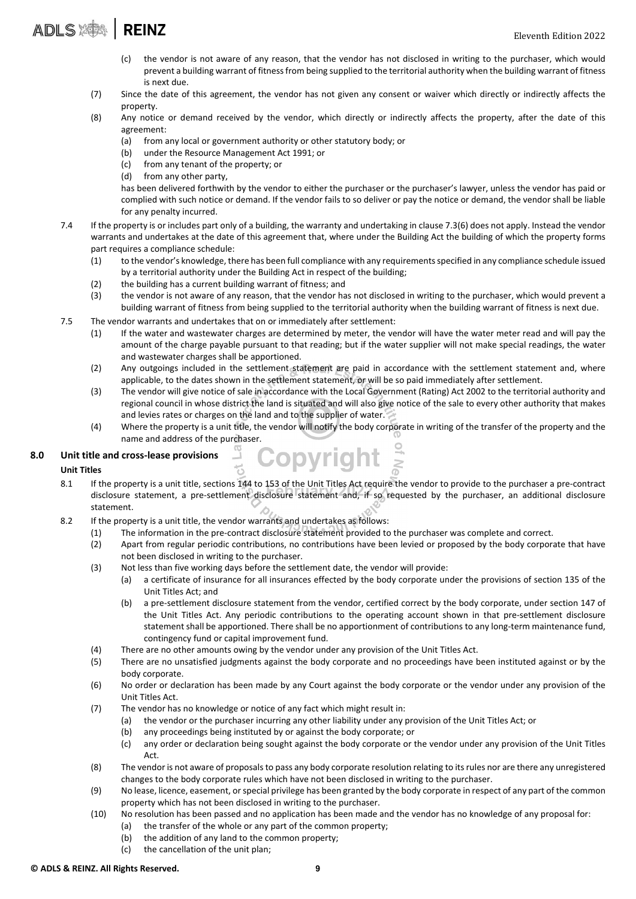- (c) the vendor is not aware of any reason, that the vendor has not disclosed in writing to the purchaser, which would prevent a building warrant of fitness from being supplied to the territorial authority when the building warrant of fitness is next due.
- (7) Since the date of this agreement, the vendor has not given any consent or waiver which directly or indirectly affects the property.
- (8) Any notice or demand received by the vendor, which directly or indirectly affects the property, after the date of this agreement:
	- (a) from any local or government authority or other statutory body; or
	- (b) under the Resource Management Act 1991; or
	- (c) from any tenant of the property; or
	- (d) from any other party,

has been delivered forthwith by the vendor to either the purchaser or the purchaser's lawyer, unless the vendor has paid or complied with such notice or demand. If the vendor fails to so deliver or pay the notice or demand, the vendor shall be liable for any penalty incurred.

- 7.4 If the property is or includes part only of a building, the warranty and undertaking in clause 7.3(6) does not apply. Instead the vendor warrants and undertakes at the date of this agreement that, where under the Building Act the building of which the property forms part requires a compliance schedule:
	- (1) to the vendor's knowledge, there has been full compliance with any requirementsspecified in any compliance schedule issued by a territorial authority under the Building Act in respect of the building;
	- (2) the building has a current building warrant of fitness; and
	- (3) the vendor is not aware of any reason, that the vendor has not disclosed in writing to the purchaser, which would prevent a building warrant of fitness from being supplied to the territorial authority when the building warrant of fitness is next due.
- 7.5 The vendor warrants and undertakes that on or immediately after settlement:
	- (1) If the water and wastewater charges are determined by meter, the vendor will have the water meter read and will pay the amount of the charge payable pursuant to that reading; but if the water supplier will not make special readings, the water and wastewater charges shall be apportioned.
	- (2) Any outgoings included in the settlement statement are paid in accordance with the settlement statement and, where applicable, to the dates shown in the settlement statement, or will be so paid immediately after settlement.
	- (3) The vendor will give notice of sale in accordance with the Local Government (Rating) Act 2002 to the territorial authority and regional council in whose district the land is situated and will also give notice of the sale to every other authority that makes and levies rates or charges on the land and to the supplier of water.
	- (4) Where the property is a unit title, the vendor will notify the body corporate in writing of the transfer of the property and the name and address of the purchaser.

#### 8.0 Unit title and cross-lease provisions

#### Unit Titles

- 8.1 If the property is a unit title, sections 144 to 153 of the Unit Titles Act require the vendor to provide to the purchaser a pre-contract disclosure statement, a pre‐settlement disclosure statement and, if so requested by the purchaser, an additional disclosure statement.
- 8.2 If the property is a unit title, the vendor warrants and undertakes as follows:
	- (1) The information in the pre‐contract disclosure statement provided to the purchaser was complete and correct.

**Copyright** 

- (2) Apart from regular periodic contributions, no contributions have been levied or proposed by the body corporate that have not been disclosed in writing to the purchaser.
- (3) Not less than five working days before the settlement date, the vendor will provide:
	- (a) a certificate of insurance for all insurances effected by the body corporate under the provisions of section 135 of the Unit Titles Act; and
	- (b) a pre‐settlement disclosure statement from the vendor, certified correct by the body corporate, under section 147 of the Unit Titles Act. Any periodic contributions to the operating account shown in that pre‐settlement disclosure statement shall be apportioned. There shall be no apportionment of contributions to any long-term maintenance fund, contingency fund or capital improvement fund.
- (4) There are no other amounts owing by the vendor under any provision of the Unit Titles Act.
- (5) There are no unsatisfied judgments against the body corporate and no proceedings have been instituted against or by the body corporate.
- (6) No order or declaration has been made by any Court against the body corporate or the vendor under any provision of the Unit Titles Act.
- (7) The vendor has no knowledge or notice of any fact which might result in:
	- (a) the vendor or the purchaser incurring any other liability under any provision of the Unit Titles Act; or
	- (b) any proceedings being instituted by or against the body corporate; or
	- (c) any order or declaration being sought against the body corporate or the vendor under any provision of the Unit Titles Act.
- (8) The vendor is not aware of proposalsto pass any body corporate resolution relating to itsrules nor are there any unregistered changes to the body corporate rules which have not been disclosed in writing to the purchaser.
- (9) No lease, licence, easement, orspecial privilege has been granted by the body corporate in respect of any part of the common property which has not been disclosed in writing to the purchaser.
- (10) No resolution has been passed and no application has been made and the vendor has no knowledge of any proposal for:
	- (a) the transfer of the whole or any part of the common property;
	- (b) the addition of any land to the common property;
	- (c) the cancellation of the unit plan;

#### © ADLS & REINZ. All Rights Reserved. 9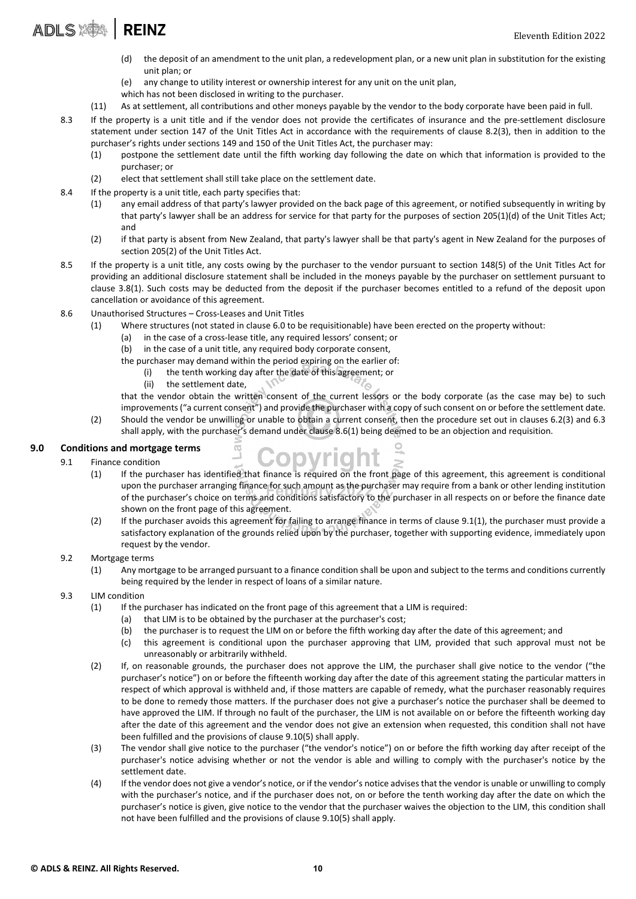- (d) the deposit of an amendment to the unit plan, a redevelopment plan, or a new unit plan in substitution for the existing unit plan; or
- (e) any change to utility interest or ownership interest for any unit on the unit plan,
- which has not been disclosed in writing to the purchaser.
- (11) As at settlement, all contributions and other moneys payable by the vendor to the body corporate have been paid in full.
- 8.3 If the property is a unit title and if the vendor does not provide the certificates of insurance and the pre-settlement disclosure statement under section 147 of the Unit Titles Act in accordance with the requirements of clause 8.2(3), then in addition to the purchaser's rights under sections 149 and 150 of the Unit Titles Act, the purchaser may:
	- (1) postpone the settlement date until the fifth working day following the date on which that information is provided to the purchaser; or
	- (2) elect that settlement shall still take place on the settlement date.
- 8.4 If the property is a unit title, each party specifies that:
	- (1) any email address of that party's lawyer provided on the back page of this agreement, or notified subsequently in writing by that party's lawyer shall be an address for service for that party for the purposes of section 205(1)(d) of the Unit Titles Act; and
	- (2) if that party is absent from New Zealand, that party's lawyer shall be that party's agent in New Zealand for the purposes of section 205(2) of the Unit Titles Act.
- 8.5 If the property is a unit title, any costs owing by the purchaser to the vendor pursuant to section 148(5) of the Unit Titles Act for providing an additional disclosure statement shall be included in the moneys payable by the purchaser on settlement pursuant to clause 3.8(1). Such costs may be deducted from the deposit if the purchaser becomes entitled to a refund of the deposit upon cancellation or avoidance of this agreement.
- 8.6 Unauthorised Structures Cross‐Leases and Unit Titles
	- (1) Where structures (not stated in clause 6.0 to be requisitionable) have been erected on the property without:

Copyright

- (a) in the case of a cross‐lease title, any required lessors' consent; or
- (b) in the case of a unit title, any required body corporate consent,
- the purchaser may demand within the period expiring on the earlier of:
	- (i) the tenth working day after the date of this agreement; or
	- (ii) the settlement date,

that the vendor obtain the written consent of the current lessors or the body corporate (as the case may be) to such improvements("a current consent") and provide the purchaser with a copy ofsuch consent on or before the settlement date.

(2) Should the vendor be unwilling or unable to obtain a current consent, then the procedure set out in clauses 6.2(3) and 6.3 shall apply, with the purchaser's demand under clause 8.6(1) being deemed to be an objection and requisition.

### 9.0 Conditions and mortgage terms

- 9.1 Finance condition
	- (1) If the purchaser has identified that finance is required on the front page of this agreement, this agreement is conditional upon the purchaser arranging finance for such amount as the purchaser may require from a bank or other lending institution of the purchaser's choice on terms and conditions satisfactory to the purchaser in all respects on or before the finance date shown on the front page of this agreement.
	- (2) If the purchaser avoids this agreement for failing to arrange finance in terms of clause 9.1(1), the purchaser must provide a satisfactory explanation of the grounds relied upon by the purchaser, together with supporting evidence, immediately upon request by the vendor.
- 9.2 Mortgage terms
	- (1) Any mortgage to be arranged pursuant to a finance condition shall be upon and subject to the terms and conditions currently being required by the lender in respect of loans of a similar nature.
- 9.3 LIM condition
	- (1) If the purchaser has indicated on the front page of this agreement that a LIM is required:
		- (a) that LIM is to be obtained by the purchaser at the purchaser's cost;
		- (b) the purchaser is to request the LIM on or before the fifth working day after the date of this agreement; and
		- (c) this agreement is conditional upon the purchaser approving that LIM, provided that such approval must not be unreasonably or arbitrarily withheld.
	- (2) If, on reasonable grounds, the purchaser does not approve the LIM, the purchaser shall give notice to the vendor ("the purchaser's notice") on or before the fifteenth working day after the date of this agreement stating the particular matters in respect of which approval is withheld and, if those matters are capable of remedy, what the purchaser reasonably requires to be done to remedy those matters. If the purchaser does not give a purchaser's notice the purchaser shall be deemed to have approved the LIM. If through no fault of the purchaser, the LIM is not available on or before the fifteenth working day after the date of this agreement and the vendor does not give an extension when requested, this condition shall not have been fulfilled and the provisions of clause 9.10(5) shall apply.
	- (3) The vendor shall give notice to the purchaser ("the vendor's notice") on or before the fifth working day after receipt of the purchaser's notice advising whether or not the vendor is able and willing to comply with the purchaser's notice by the settlement date.
	- (4) If the vendor does not give a vendor's notice, or if the vendor's notice advises that the vendor is unable or unwilling to comply with the purchaser's notice, and if the purchaser does not, on or before the tenth working day after the date on which the purchaser's notice is given, give notice to the vendor that the purchaser waives the objection to the LIM, this condition shall not have been fulfilled and the provisions of clause 9.10(5) shall apply.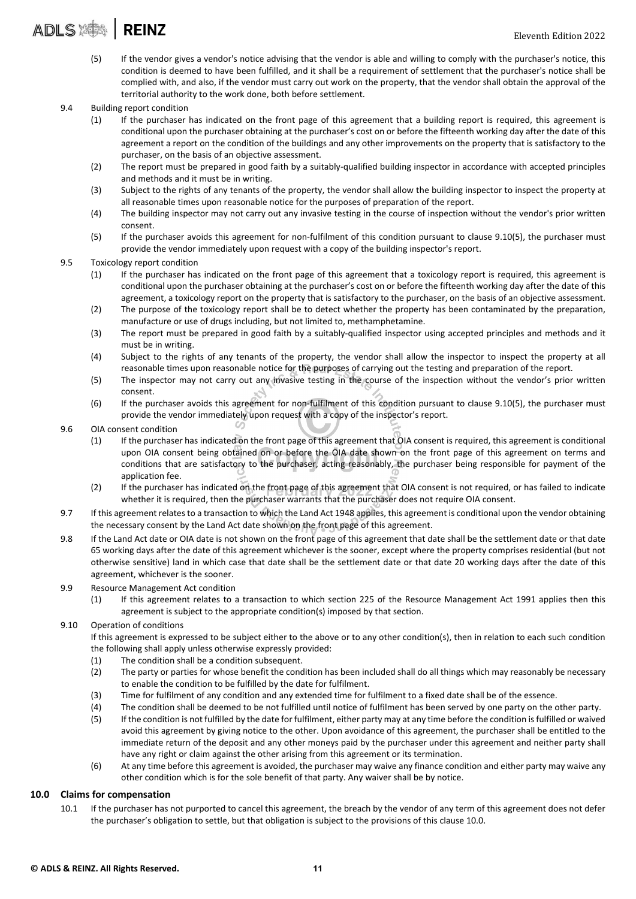## ADLS AND ANDIS AREINZ

- (5) If the vendor gives a vendor's notice advising that the vendor is able and willing to comply with the purchaser's notice, this condition is deemed to have been fulfilled, and it shall be a requirement of settlement that the purchaser's notice shall be complied with, and also, if the vendor must carry out work on the property, that the vendor shall obtain the approval of the territorial authority to the work done, both before settlement.
- 9.4 Building report condition
	- (1) If the purchaser has indicated on the front page of this agreement that a building report is required, this agreement is conditional upon the purchaser obtaining at the purchaser's cost on or before the fifteenth working day after the date of this agreement a report on the condition of the buildings and any other improvements on the property that is satisfactory to the purchaser, on the basis of an objective assessment.
	- (2) The report must be prepared in good faith by a suitably‐qualified building inspector in accordance with accepted principles and methods and it must be in writing.
	- (3) Subject to the rights of any tenants of the property, the vendor shall allow the building inspector to inspect the property at all reasonable times upon reasonable notice for the purposes of preparation of the report.
	- (4) The building inspector may not carry out any invasive testing in the course of inspection without the vendor's prior written consent.
	- (5) If the purchaser avoids this agreement for non‐fulfilment of this condition pursuant to clause 9.10(5), the purchaser must provide the vendor immediately upon request with a copy of the building inspector's report.

#### 9.5 Toxicology report condition

- (1) If the purchaser has indicated on the front page of this agreement that a toxicology report is required, this agreement is conditional upon the purchaser obtaining at the purchaser's cost on or before the fifteenth working day after the date of this agreement, a toxicology report on the property that is satisfactory to the purchaser, on the basis of an objective assessment.
- (2) The purpose of the toxicology report shall be to detect whether the property has been contaminated by the preparation, manufacture or use of drugs including, but not limited to, methamphetamine.
- (3) The report must be prepared in good faith by a suitably‐qualified inspector using accepted principles and methods and it must be in writing.
- (4) Subject to the rights of any tenants of the property, the vendor shall allow the inspector to inspect the property at all reasonable times upon reasonable notice for the purposes of carrying out the testing and preparation of the report.
- (5) The inspector may not carry out any invasive testing in the course of the inspection without the vendor's prior written consent.
- (6) If the purchaser avoids this agreement for non‐fulfilment of this condition pursuant to clause 9.10(5), the purchaser must provide the vendor immediately upon request with a copy of the inspector's report.

#### 9.6 OIA consent condition

- (1) If the purchaser has indicated on the front page of this agreement that OIA consent is required, this agreement is conditional upon OIA consent being obtained on or before the OIA date shown on the front page of this agreement on terms and conditions that are satisfactory to the purchaser, acting reasonably, the purchaser being responsible for payment of the application fee.
- (2) If the purchaser has indicated on the front page of this agreement that OIA consent is not required, or has failed to indicate whether it is required, then the purchaser warrants that the purchaser does not require OIA consent.
- 9.7 If this agreement relates to a transaction to which the Land Act 1948 applies, this agreement is conditional upon the vendor obtaining the necessary consent by the Land Act date shown on the front page of this agreement.
- 9.8 If the Land Act date or OIA date is not shown on the front page of this agreement that date shall be the settlement date or that date 65 working days after the date of this agreement whichever is the sooner, except where the property comprises residential (but not otherwise sensitive) land in which case that date shall be the settlement date or that date 20 working days after the date of this agreement, whichever is the sooner.

#### 9.9 Resource Management Act condition

(1) If this agreement relates to a transaction to which section 225 of the Resource Management Act 1991 applies then this agreement is subject to the appropriate condition(s) imposed by that section.

#### 9.10 Operation of conditions

If this agreement is expressed to be subject either to the above or to any other condition(s), then in relation to each such condition the following shall apply unless otherwise expressly provided:

- (1) The condition shall be a condition subsequent.
- (2) The party or parties for whose benefit the condition has been included shall do all things which may reasonably be necessary to enable the condition to be fulfilled by the date for fulfilment.
- (3) Time for fulfilment of any condition and any extended time for fulfilment to a fixed date shall be of the essence.
- (4) The condition shall be deemed to be not fulfilled until notice of fulfilment has been served by one party on the other party.
- (5) If the condition is not fulfilled by the date for fulfilment, either party may at any time before the condition is fulfilled or waived avoid this agreement by giving notice to the other. Upon avoidance of this agreement, the purchaser shall be entitled to the immediate return of the deposit and any other moneys paid by the purchaser under this agreement and neither party shall have any right or claim against the other arising from this agreement or its termination.
- (6) At any time before this agreement is avoided, the purchaser may waive any finance condition and either party may waive any other condition which is for the sole benefit of that party. Any waiver shall be by notice.

#### 10.0 Claims for compensation

10.1 If the purchaser has not purported to cancel this agreement, the breach by the vendor of any term of this agreement does not defer the purchaser's obligation to settle, but that obligation is subject to the provisions of this clause 10.0.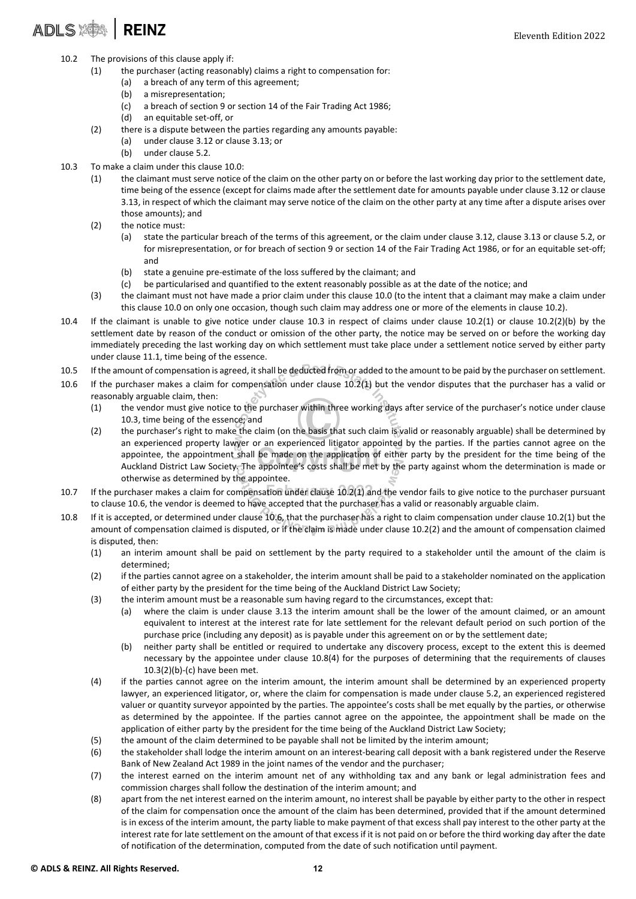# ADLS : **REINZ**

- 10.2 The provisions of this clause apply if:
	- (1) the purchaser (acting reasonably) claims a right to compensation for:
		- (a) a breach of any term of this agreement;
			- (b) a misrepresentation;
			- (c) a breach of section 9 or section 14 of the Fair Trading Act 1986;
			- (d) an equitable set‐off, or
	- (2) there is a dispute between the parties regarding any amounts payable:
		- (a) under clause 3.12 or clause 3.13; or
		- (b) under clause 5.2.
- 10.3 To make a claim under this clause 10.0:
	- (1) the claimant must serve notice of the claim on the other party on or before the last working day prior to the settlement date, time being of the essence (except for claims made after the settlement date for amounts payable under clause 3.12 or clause 3.13, in respect of which the claimant may serve notice of the claim on the other party at any time after a dispute arises over those amounts); and
	- (2) the notice must:
		- (a) state the particular breach of the terms of this agreement, or the claim under clause 3.12, clause 3.13 or clause 5.2, or for misrepresentation, or for breach of section 9 or section 14 of the Fair Trading Act 1986, or for an equitable set-off; and
		- (b) state a genuine pre‐estimate of the loss suffered by the claimant; and
		- (c) be particularised and quantified to the extent reasonably possible as at the date of the notice; and
	- (3) the claimant must not have made a prior claim under this clause 10.0 (to the intent that a claimant may make a claim under this clause 10.0 on only one occasion, though such claim may address one or more of the elements in clause 10.2).
- 10.4 If the claimant is unable to give notice under clause 10.3 in respect of claims under clause 10.2(1) or clause 10.2(2)(b) by the settlement date by reason of the conduct or omission of the other party, the notice may be served on or before the working day immediately preceding the last working day on which settlement must take place under a settlement notice served by either party under clause 11.1, time being of the essence.
- 10.5 If the amount of compensation is agreed, it shall be deducted from or added to the amount to be paid by the purchaser on settlement.
- 10.6 If the purchaser makes a claim for compensation under clause 10.2(1) but the vendor disputes that the purchaser has a valid or reasonably arguable claim, then:
	- (1) the vendor must give notice to the purchaser within three working days after service of the purchaser's notice under clause 10.3, time being of the essence; and
	- (2) the purchaser's right to make the claim (on the basis that such claim is valid or reasonably arguable) shall be determined by an experienced property lawyer or an experienced litigator appointed by the parties. If the parties cannot agree on the appointee, the appointment shall be made on the application of either party by the president for the time being of the Auckland District Law Society. The appointee's costs shall be met by the party against whom the determination is made or otherwise as determined by the appointee.
- 10.7 If the purchaser makes a claim for compensation under clause 10.2(1) and the vendor fails to give notice to the purchaser pursuant to clause 10.6, the vendor is deemed to have accepted that the purchaser has a valid or reasonably arguable claim.
- 10.8 If it is accepted, or determined under clause 10.6, that the purchaser has a right to claim compensation under clause 10.2(1) but the amount of compensation claimed is disputed, or if the claim is made under clause 10.2(2) and the amount of compensation claimed is disputed, then:
	- (1) an interim amount shall be paid on settlement by the party required to a stakeholder until the amount of the claim is determined;
	- (2) if the parties cannot agree on a stakeholder, the interim amount shall be paid to a stakeholder nominated on the application of either party by the president for the time being of the Auckland District Law Society;
	- (3) the interim amount must be a reasonable sum having regard to the circumstances, except that:
		- (a) where the claim is under clause 3.13 the interim amount shall be the lower of the amount claimed, or an amount equivalent to interest at the interest rate for late settlement for the relevant default period on such portion of the purchase price (including any deposit) as is payable under this agreement on or by the settlement date;
			- (b) neither party shall be entitled or required to undertake any discovery process, except to the extent this is deemed necessary by the appointee under clause 10.8(4) for the purposes of determining that the requirements of clauses 10.3(2)(b)‐(c) have been met.
	- (4) if the parties cannot agree on the interim amount, the interim amount shall be determined by an experienced property lawyer, an experienced litigator, or, where the claim for compensation is made under clause 5.2, an experienced registered valuer or quantity surveyor appointed by the parties. The appointee's costs shall be met equally by the parties, or otherwise as determined by the appointee. If the parties cannot agree on the appointee, the appointment shall be made on the application of either party by the president for the time being of the Auckland District Law Society;
	- (5) the amount of the claim determined to be payable shall not be limited by the interim amount;
	- (6) the stakeholder shall lodge the interim amount on an interest-bearing call deposit with a bank registered under the Reserve Bank of New Zealand Act 1989 in the joint names of the vendor and the purchaser;
	- (7) the interest earned on the interim amount net of any withholding tax and any bank or legal administration fees and commission charges shall follow the destination of the interim amount; and
	- (8) apart from the net interest earned on the interim amount, no interest shall be payable by either party to the other in respect of the claim for compensation once the amount of the claim has been determined, provided that if the amount determined is in excess of the interim amount, the party liable to make payment of that excess shall pay interest to the other party at the interest rate for late settlement on the amount of that excess if it is not paid on or before the third working day after the date of notification of the determination, computed from the date of such notification until payment.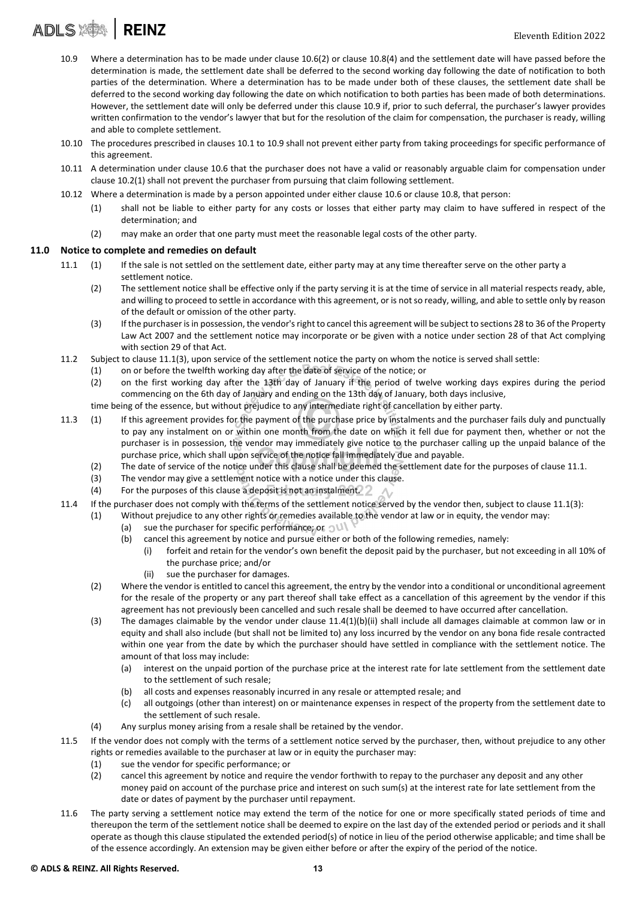- 10.9 Where a determination has to be made under clause 10.6(2) or clause 10.8(4) and the settlement date will have passed before the determination is made, the settlement date shall be deferred to the second working day following the date of notification to both parties of the determination. Where a determination has to be made under both of these clauses, the settlement date shall be deferred to the second working day following the date on which notification to both parties has been made of both determinations. However, the settlement date will only be deferred under this clause 10.9 if, prior to such deferral, the purchaser's lawyer provides written confirmation to the vendor's lawyer that but for the resolution of the claim for compensation, the purchaser is ready, willing and able to complete settlement.
- 10.10 The procedures prescribed in clauses 10.1 to 10.9 shall not prevent either party from taking proceedings for specific performance of this agreement.
- 10.11 A determination under clause 10.6 that the purchaser does not have a valid or reasonably arguable claim for compensation under clause 10.2(1) shall not prevent the purchaser from pursuing that claim following settlement.
- 10.12 Where a determination is made by a person appointed under either clause 10.6 or clause 10.8, that person:
	- (1) shall not be liable to either party for any costs or losses that either party may claim to have suffered in respect of the determination; and
	- (2) may make an order that one party must meet the reasonable legal costs of the other party.

#### 11.0 Notice to complete and remedies on default

- 11.1 (1) If the sale is not settled on the settlement date, either party may at any time thereafter serve on the other party a settlement notice.
	- (2) The settlement notice shall be effective only if the party serving it is at the time of service in all material respects ready, able, and willing to proceed to settle in accordance with this agreement, or is notso ready, willing, and able to settle only by reason of the default or omission of the other party.
	- (3) If the purchaser isin possession, the vendor'sright to cancel this agreement will be subject to sections 28 to 36 of the Property Law Act 2007 and the settlement notice may incorporate or be given with a notice under section 28 of that Act complying with section 29 of that Act.
- 11.2 Subject to clause 11.1(3), upon service of the settlement notice the party on whom the notice is served shall settle:
	- (1) on or before the twelfth working day after the date of service of the notice; or
	- (2) on the first working day after the 13th day of January if the period of twelve working days expires during the period commencing on the 6th day of January and ending on the 13th day of January, both days inclusive,
	- time being of the essence, but without prejudice to any intermediate right of cancellation by either party.
- 11.3 (1) If this agreement provides for the payment of the purchase price by instalments and the purchaser fails duly and punctually to pay any instalment on or within one month from the date on which it fell due for payment then, whether or not the purchaser is in possession, the vendor may immediately give notice to the purchaser calling up the unpaid balance of the purchase price, which shall upon service of the notice fall immediately due and payable.
	- (2) The date of service of the notice under this clause shall be deemed the settlement date for the purposes of clause 11.1.
	- (3) The vendor may give a settlement notice with a notice under this clause.
	- (4) For the purposes of this clause a deposit is not an instalment.
- 11.4 If the purchaser does not comply with the terms of the settlement notice served by the vendor then, subject to clause 11.1(3):
	- (1) Without prejudice to any other rights or remedies available to the vendor at law or in equity, the vendor may:
		- (a) sue the purchaser for specific performance; or  $\mathcal{O}(1)$
		- (b) cancel this agreement by notice and pursue either or both of the following remedies, namely:
			- (i) forfeit and retain for the vendor's own benefit the deposit paid by the purchaser, but not exceeding in all 10% of the purchase price; and/or
				- (ii) sue the purchaser for damages.
	- (2) Where the vendor is entitled to cancel this agreement, the entry by the vendor into a conditional or unconditional agreement for the resale of the property or any part thereof shall take effect as a cancellation of this agreement by the vendor if this agreement has not previously been cancelled and such resale shall be deemed to have occurred after cancellation.
	- (3) The damages claimable by the vendor under clause 11.4(1)(b)(ii) shall include all damages claimable at common law or in equity and shall also include (but shall not be limited to) any loss incurred by the vendor on any bona fide resale contracted within one year from the date by which the purchaser should have settled in compliance with the settlement notice. The amount of that loss may include:
		- (a) interest on the unpaid portion of the purchase price at the interest rate for late settlement from the settlement date to the settlement of such resale;
		- (b) all costs and expenses reasonably incurred in any resale or attempted resale; and
		- (c) all outgoings (other than interest) on or maintenance expenses in respect of the property from the settlement date to the settlement of such resale.
	- (4) Any surplus money arising from a resale shall be retained by the vendor.
- 11.5 If the vendor does not comply with the terms of a settlement notice served by the purchaser, then, without prejudice to any other rights or remedies available to the purchaser at law or in equity the purchaser may:
	- (1) sue the vendor for specific performance; or
	- (2) cancel this agreement by notice and require the vendor forthwith to repay to the purchaser any deposit and any other money paid on account of the purchase price and interest on such sum(s) at the interest rate for late settlement from the date or dates of payment by the purchaser until repayment.
- 11.6 The party serving a settlement notice may extend the term of the notice for one or more specifically stated periods of time and thereupon the term of the settlement notice shall be deemed to expire on the last day of the extended period or periods and it shall operate as though this clause stipulated the extended period(s) of notice in lieu of the period otherwise applicable; and time shall be of the essence accordingly. An extension may be given either before or after the expiry of the period of the notice.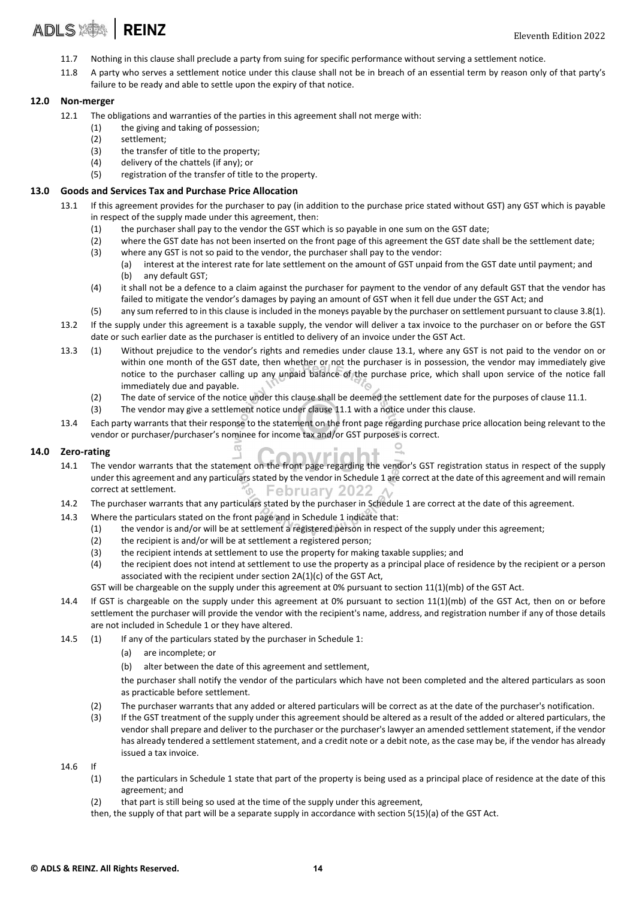- 11.7 Nothing in this clause shall preclude a party from suing for specific performance without serving a settlement notice.
- 11.8 A party who serves a settlement notice under this clause shall not be in breach of an essential term by reason only of that party's failure to be ready and able to settle upon the expiry of that notice.

#### 12.0 Non‐merger

- 12.1 The obligations and warranties of the parties in this agreement shall not merge with:
	- (1) the giving and taking of possession;
	- (2) settlement;
	- (3) the transfer of title to the property;
	- (4) delivery of the chattels (if any); or
	- (5) registration of the transfer of title to the property.

#### 13.0 Goods and Services Tax and Purchase Price Allocation

- 13.1 If this agreement provides for the purchaser to pay (in addition to the purchase price stated without GST) any GST which is payable in respect of the supply made under this agreement, then:
	- (1) the purchaser shall pay to the vendor the GST which is so payable in one sum on the GST date;
	- (2) where the GST date has not been inserted on the front page of this agreement the GST date shall be the settlement date;
	- (3) where any GST is not so paid to the vendor, the purchaser shall pay to the vendor:
		- (a) interest at the interest rate for late settlement on the amount of GST unpaid from the GST date until payment; and (b) any default GST;
	- (4) it shall not be a defence to a claim against the purchaser for payment to the vendor of any default GST that the vendor has failed to mitigate the vendor's damages by paying an amount of GST when it fell due under the GST Act; and
	- (5) any sum referred to in this clause is included in the moneys payable by the purchaser on settlement pursuant to clause 3.8(1).
- 13.2 If the supply under this agreement is a taxable supply, the vendor will deliver a tax invoice to the purchaser on or before the GST date or such earlier date as the purchaser is entitled to delivery of an invoice under the GST Act.
- 13.3 (1) Without prejudice to the vendor's rights and remedies under clause 13.1, where any GST is not paid to the vendor on or within one month of the GST date, then whether or not the purchaser is in possession, the vendor may immediately give notice to the purchaser calling up any unpaid balance of the purchase price, which shall upon service of the notice fall immediately due and payable.
	- (2) The date of service of the notice under this clause shall be deemed the settlement date for the purposes of clause 11.1.
	- (3) The vendor may give a settlement notice under clause 11.1 with a notice under this clause.
- 13.4 Each party warrants that their response to the statement on the front page regarding purchase price allocation being relevant to the vendor or purchaser/purchaser's nominee for income tax and/or GST purposes is correct.

#### 14.0 Zero‐rating

- 14.1 The vendor warrants that the statement on the front page regarding the vendor's GST registration status in respect of the supply under this agreement and any particulars stated by the vendor in Schedule 1 are correct at the date of this agreement and will remain correct at settlement. **February 2022**  $\sigma$
- 14.2 The purchaser warrants that any particulars stated by the purchaser in Schedule 1 are correct at the date of this agreement.
- 14.3 Where the particulars stated on the front page and in Schedule 1 indicate that:

 $\overline{a}$ 

- (1) the vendor is and/or will be at settlement a registered person in respect of the supply under this agreement;
- (2) the recipient is and/or will be at settlement a registered person;
- (3) the recipient intends at settlement to use the property for making taxable supplies; and
- (4) the recipient does not intend at settlement to use the property as a principal place of residence by the recipient or a person associated with the recipient under section 2A(1)(c) of the GST Act,
- GST will be chargeable on the supply under this agreement at 0% pursuant to section 11(1)(mb) of the GST Act.
- 14.4 If GST is chargeable on the supply under this agreement at 0% pursuant to section 11(1)(mb) of the GST Act, then on or before settlement the purchaser will provide the vendor with the recipient's name, address, and registration number if any of those details are not included in Schedule 1 or they have altered.
- 14.5 (1) If any of the particulars stated by the purchaser in Schedule 1:
	- (a) are incomplete; or
	- (b) alter between the date of this agreement and settlement,

the purchaser shall notify the vendor of the particulars which have not been completed and the altered particulars as soon as practicable before settlement.

- (2) The purchaser warrants that any added or altered particulars will be correct as at the date of the purchaser's notification.
- (3) If the GST treatment of the supply under this agreement should be altered as a result of the added or altered particulars, the vendor shall prepare and deliver to the purchaser or the purchaser's lawyer an amended settlement statement, if the vendor has already tendered a settlement statement, and a credit note or a debit note, as the case may be, if the vendor has already issued a tax invoice.
- 14.6 If
	- (1) the particulars in Schedule 1 state that part of the property is being used as a principal place of residence at the date of this agreement; and
	- (2) that part is still being so used at the time of the supply under this agreement,
	- then, the supply of that part will be a separate supply in accordance with section 5(15)(a) of the GST Act.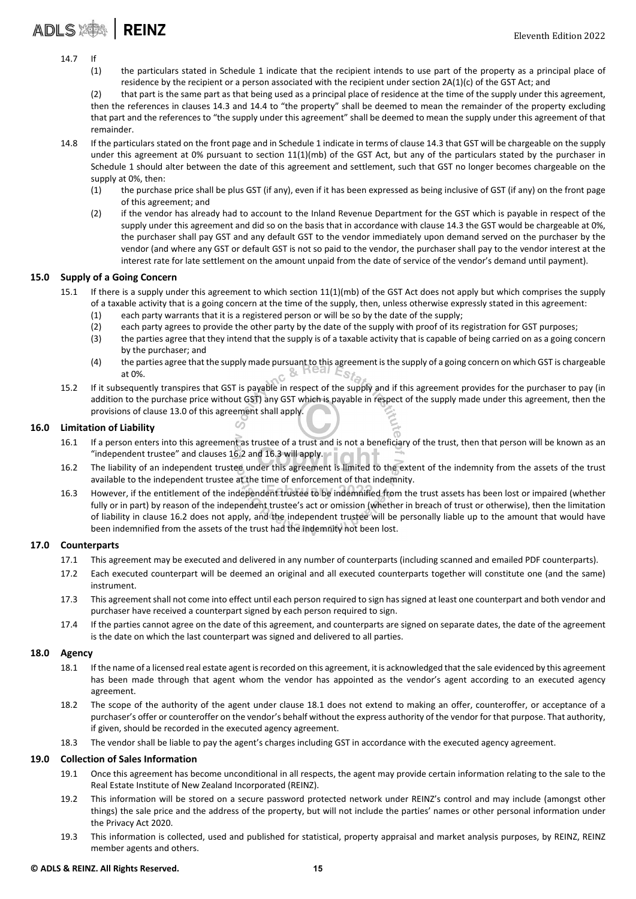# ADLS **AND**

- 14.7 If
	- (1) the particulars stated in Schedule 1 indicate that the recipient intends to use part of the property as a principal place of residence by the recipient or a person associated with the recipient under section 2A(1)(c) of the GST Act; and

(2) that part is the same part as that being used as a principal place of residence at the time of the supply under this agreement, then the references in clauses 14.3 and 14.4 to "the property" shall be deemed to mean the remainder of the property excluding that part and the references to "the supply under this agreement" shall be deemed to mean the supply under this agreement of that remainder.

- 14.8 If the particulars stated on the front page and in Schedule 1 indicate in terms of clause 14.3 that GST will be chargeable on the supply under this agreement at 0% pursuant to section 11(1)(mb) of the GST Act, but any of the particulars stated by the purchaser in Schedule 1 should alter between the date of this agreement and settlement, such that GST no longer becomes chargeable on the supply at 0%, then:
	- (1) the purchase price shall be plus GST (if any), even if it has been expressed as being inclusive of GST (if any) on the front page of this agreement; and
	- (2) if the vendor has already had to account to the Inland Revenue Department for the GST which is payable in respect of the supply under this agreement and did so on the basis that in accordance with clause 14.3 the GST would be chargeable at 0%, the purchaser shall pay GST and any default GST to the vendor immediately upon demand served on the purchaser by the vendor (and where any GST or default GST is not so paid to the vendor, the purchaser shall pay to the vendor interest at the interest rate for late settlement on the amount unpaid from the date of service of the vendor's demand until payment).

#### 15.0 Supply of a Going Concern

- 15.1 If there is a supply under this agreement to which section 11(1)(mb) of the GST Act does not apply but which comprises the supply of a taxable activity that is a going concern at the time of the supply, then, unless otherwise expressly stated in this agreement:
	- (1) each party warrants that it is a registered person or will be so by the date of the supply;
	- (2) each party agrees to provide the other party by the date of the supply with proof of its registration for GST purposes;
	- (3) the parties agree that they intend that the supply is of a taxable activity that is capable of being carried on as a going concern by the purchaser; and
	- (4) the parties agree that the supply made pursuant to this agreement isthe supply of a going concern on which GST is chargeable at 0%.  $c$  &  $n$  cal  $c_{S}$
- 15.2 If it subsequently transpires that GST is payable in respect of the supply and if this agreement provides for the purchaser to pay (in addition to the purchase price without GST) any GST which is payable in respect of the supply made under this agreement, then the provisions of clause 13.0 of this agreement shall apply.

#### 16.0 Limitation of Liability

- 16.1 If a person enters into this agreement as trustee of a trust and is not a beneficiary of the trust, then that person will be known as an "independent trustee" and clauses 16.2 and 16.3 will apply.
- 16.2 The liability of an independent trustee under this agreement is limited to the extent of the indemnity from the assets of the trust available to the independent trustee at the time of enforcement of that indemnity.
- 16.3 However, if the entitlement of the independent trustee to be indemnified from the trust assets has been lost or impaired (whether fully or in part) by reason of the independent trustee's act or omission (whether in breach of trust or otherwise), then the limitation of liability in clause 16.2 does not apply, and the independent trustee will be personally liable up to the amount that would have been indemnified from the assets of the trust had the indemnity not been lost.

#### 17.0 Counterparts

- 17.1 This agreement may be executed and delivered in any number of counterparts (including scanned and emailed PDF counterparts).
- 17.2 Each executed counterpart will be deemed an original and all executed counterparts together will constitute one (and the same) instrument.
- 17.3 This agreement shall not come into effect until each person required to sign has signed at least one counterpart and both vendor and purchaser have received a counterpart signed by each person required to sign.
- 17.4 If the parties cannot agree on the date of this agreement, and counterparts are signed on separate dates, the date of the agreement is the date on which the last counterpart was signed and delivered to all parties.

#### 18.0 Agency

- 18.1 If the name of a licensed real estate agent isrecorded on this agreement, it is acknowledged that the sale evidenced by this agreement has been made through that agent whom the vendor has appointed as the vendor's agent according to an executed agency agreement.
- 18.2 The scope of the authority of the agent under clause 18.1 does not extend to making an offer, counteroffer, or acceptance of a purchaser's offer or counteroffer on the vendor's behalf without the express authority of the vendor for that purpose. That authority, if given, should be recorded in the executed agency agreement.
- 18.3 The vendor shall be liable to pay the agent's charges including GST in accordance with the executed agency agreement.

#### 19.0 Collection of Sales Information

- 19.1 Once this agreement has become unconditional in all respects, the agent may provide certain information relating to the sale to the Real Estate Institute of New Zealand Incorporated (REINZ).
- 19.2 This information will be stored on a secure password protected network under REINZ's control and may include (amongst other things) the sale price and the address of the property, but will not include the parties' names or other personal information under the Privacy Act 2020.
- 19.3 This information is collected, used and published for statistical, property appraisal and market analysis purposes, by REINZ, REINZ member agents and others.

#### © ADLS & REINZ. All Rights Reserved. 15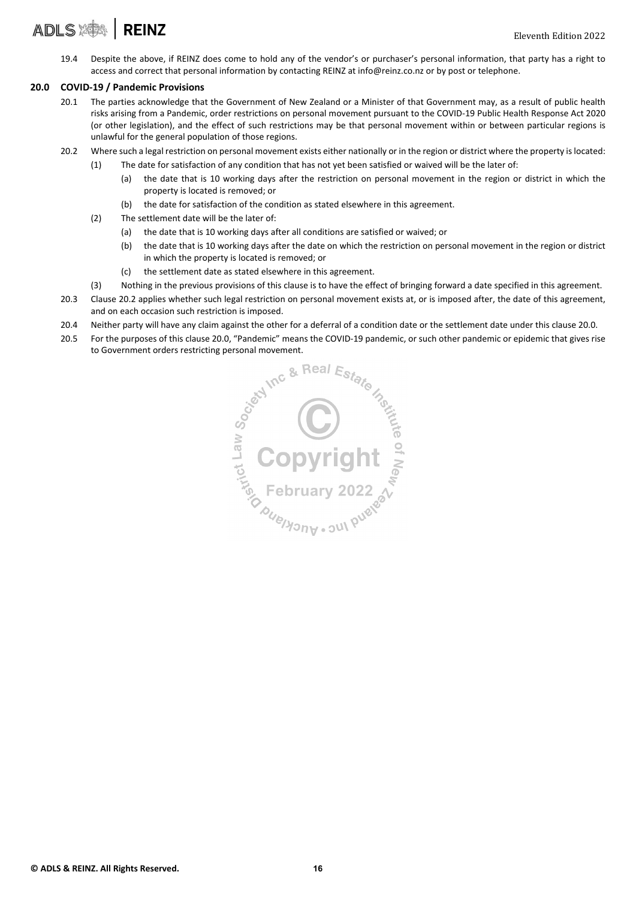#### **ADLS X# REINZ**

19.4 Despite the above, if REINZ does come to hold any of the vendor's or purchaser's personal information, that party has a right to access and correct that personal information by contacting REINZ at info@reinz.co.nz or by post or telephone.

#### 20.0 COVID‐19 / Pandemic Provisions

- 20.1 The parties acknowledge that the Government of New Zealand or a Minister of that Government may, as a result of public health risks arising from a Pandemic, order restrictions on personal movement pursuant to the COVID‐19 Public Health Response Act 2020 (or other legislation), and the effect of such restrictions may be that personal movement within or between particular regions is unlawful for the general population of those regions.
- 20.2 Where such a legal restriction on personal movement exists either nationally or in the region or district where the property islocated:
	- (1) The date for satisfaction of any condition that has not yet been satisfied or waived will be the later of:
		- (a) the date that is 10 working days after the restriction on personal movement in the region or district in which the property is located is removed; or
		- (b) the date for satisfaction of the condition as stated elsewhere in this agreement.
	- (2) The settlement date will be the later of:
		- (a) the date that is 10 working days after all conditions are satisfied or waived; or
		- (b) the date that is 10 working days after the date on which the restriction on personal movement in the region or district in which the property is located is removed; or
		- (c) the settlement date as stated elsewhere in this agreement.
	- (3) Nothing in the previous provisions of this clause is to have the effect of bringing forward a date specified in this agreement.
- 20.3 Clause 20.2 applies whether such legal restriction on personal movement exists at, or is imposed after, the date of this agreement, and on each occasion such restriction is imposed.
- 20.4 Neither party will have any claim against the other for a deferral of a condition date or the settlement date under this clause 20.0.
- 20.5 For the purposes of this clause 20.0, "Pandemic" means the COVID-19 pandemic, or such other pandemic or epidemic that gives rise

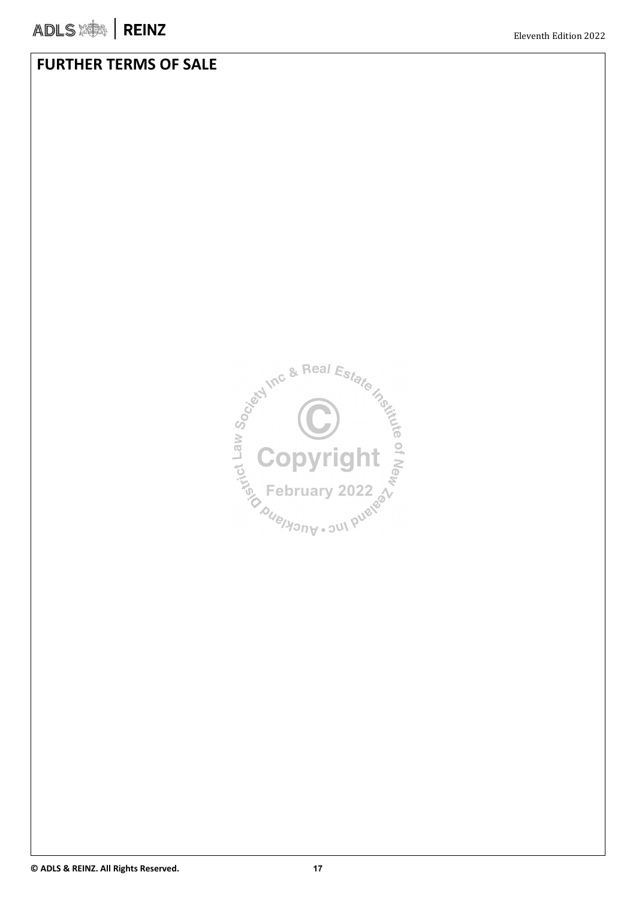### FURTHER TERMS OF SALE

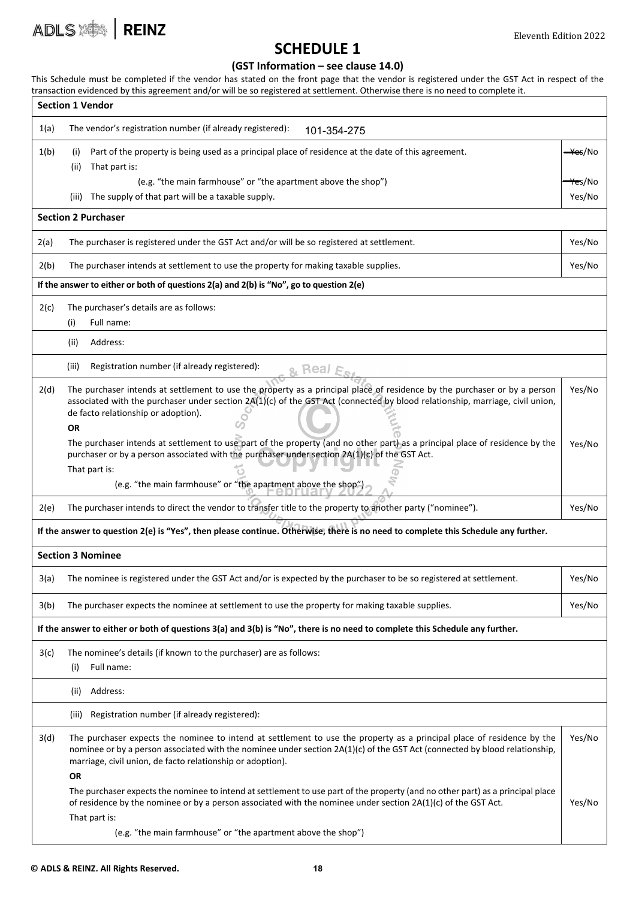

### SCHEDULE 1

#### (GST Information – see clause 14.0)

This Schedule must be completed if the vendor has stated on the front page that the vendor is registered under the GST Act in respect of the transaction evidenced by this agreement and/or will be so registered at settlement. Otherwise there is no need to complete it.

| <b>Section 1 Vendor</b>                                                                                                     |                                                                                                                                                                                                                                                                                                                                 |                     |  |  |  |  |
|-----------------------------------------------------------------------------------------------------------------------------|---------------------------------------------------------------------------------------------------------------------------------------------------------------------------------------------------------------------------------------------------------------------------------------------------------------------------------|---------------------|--|--|--|--|
| 1(a)                                                                                                                        | The vendor's registration number (if already registered):<br>101-354-275                                                                                                                                                                                                                                                        |                     |  |  |  |  |
| 1(b)                                                                                                                        | Part of the property is being used as a principal place of residence at the date of this agreement.<br>(i)<br>That part is:<br>(ii)                                                                                                                                                                                             | <del>–¥e</del> s/No |  |  |  |  |
|                                                                                                                             | (e.g. "the main farmhouse" or "the apartment above the shop")                                                                                                                                                                                                                                                                   | <del>¥e</del> s/No  |  |  |  |  |
|                                                                                                                             | The supply of that part will be a taxable supply.<br>(iii)                                                                                                                                                                                                                                                                      | Yes/No              |  |  |  |  |
|                                                                                                                             | <b>Section 2 Purchaser</b>                                                                                                                                                                                                                                                                                                      |                     |  |  |  |  |
| 2(a)                                                                                                                        | The purchaser is registered under the GST Act and/or will be so registered at settlement.                                                                                                                                                                                                                                       | Yes/No              |  |  |  |  |
| 2(b)                                                                                                                        | The purchaser intends at settlement to use the property for making taxable supplies.<br>Yes/No                                                                                                                                                                                                                                  |                     |  |  |  |  |
|                                                                                                                             | If the answer to either or both of questions 2(a) and 2(b) is "No", go to question 2(e)                                                                                                                                                                                                                                         |                     |  |  |  |  |
| 2(c)                                                                                                                        | The purchaser's details are as follows:<br>Full name:<br>(i)                                                                                                                                                                                                                                                                    |                     |  |  |  |  |
|                                                                                                                             | Address:<br>(ii)                                                                                                                                                                                                                                                                                                                |                     |  |  |  |  |
|                                                                                                                             | (iii)<br>Registration number (if already registered):<br><u>ይ Real F</u>                                                                                                                                                                                                                                                        |                     |  |  |  |  |
| 2(d)                                                                                                                        | The purchaser intends at settlement to use the property as a principal place of residence by the purchaser or by a person<br>associated with the purchaser under section 2A(1)(c) of the GST Act (connected by blood relationship, marriage, civil union,<br>de facto relationship or adoption).<br><b>OR</b>                   | Yes/No              |  |  |  |  |
|                                                                                                                             | The purchaser intends at settlement to use part of the property (and no other part) as a principal place of residence by the<br>purchaser or by a person associated with the purchaser under section 2A(1)(c) of the GST Act.<br>That part is:                                                                                  | Yes/No              |  |  |  |  |
|                                                                                                                             | (e.g. "the main farmhouse" or "the apartment above the shop")                                                                                                                                                                                                                                                                   |                     |  |  |  |  |
| 2(e)                                                                                                                        | The purchaser intends to direct the vendor to transfer title to the property to another party ("nominee").                                                                                                                                                                                                                      | Yes/No              |  |  |  |  |
|                                                                                                                             | If the answer to question 2(e) is "Yes", then please continue. Otherwise, there is no need to complete this Schedule any further.                                                                                                                                                                                               |                     |  |  |  |  |
|                                                                                                                             | <b>Section 3 Nominee</b>                                                                                                                                                                                                                                                                                                        |                     |  |  |  |  |
| 3(a)                                                                                                                        | The nominee is registered under the GST Act and/or is expected by the purchaser to be so registered at settlement.                                                                                                                                                                                                              | Yes/No              |  |  |  |  |
| 3(b)                                                                                                                        | The purchaser expects the nominee at settlement to use the property for making taxable supplies.                                                                                                                                                                                                                                | Yes/No              |  |  |  |  |
| If the answer to either or both of questions 3(a) and 3(b) is "No", there is no need to complete this Schedule any further. |                                                                                                                                                                                                                                                                                                                                 |                     |  |  |  |  |
| 3(c)                                                                                                                        | The nominee's details (if known to the purchaser) are as follows:<br>Full name:<br>(i)                                                                                                                                                                                                                                          |                     |  |  |  |  |
|                                                                                                                             | Address:<br>(ii)                                                                                                                                                                                                                                                                                                                |                     |  |  |  |  |
|                                                                                                                             | Registration number (if already registered):<br>(iii)                                                                                                                                                                                                                                                                           |                     |  |  |  |  |
| 3(d)                                                                                                                        | The purchaser expects the nominee to intend at settlement to use the property as a principal place of residence by the<br>nominee or by a person associated with the nominee under section 2A(1)(c) of the GST Act (connected by blood relationship,<br>marriage, civil union, de facto relationship or adoption).<br><b>OR</b> | Yes/No              |  |  |  |  |
|                                                                                                                             | The purchaser expects the nominee to intend at settlement to use part of the property (and no other part) as a principal place<br>of residence by the nominee or by a person associated with the nominee under section 2A(1)(c) of the GST Act.<br>That part is:                                                                | Yes/No              |  |  |  |  |
|                                                                                                                             | (e.g. "the main farmhouse" or "the apartment above the shop")                                                                                                                                                                                                                                                                   |                     |  |  |  |  |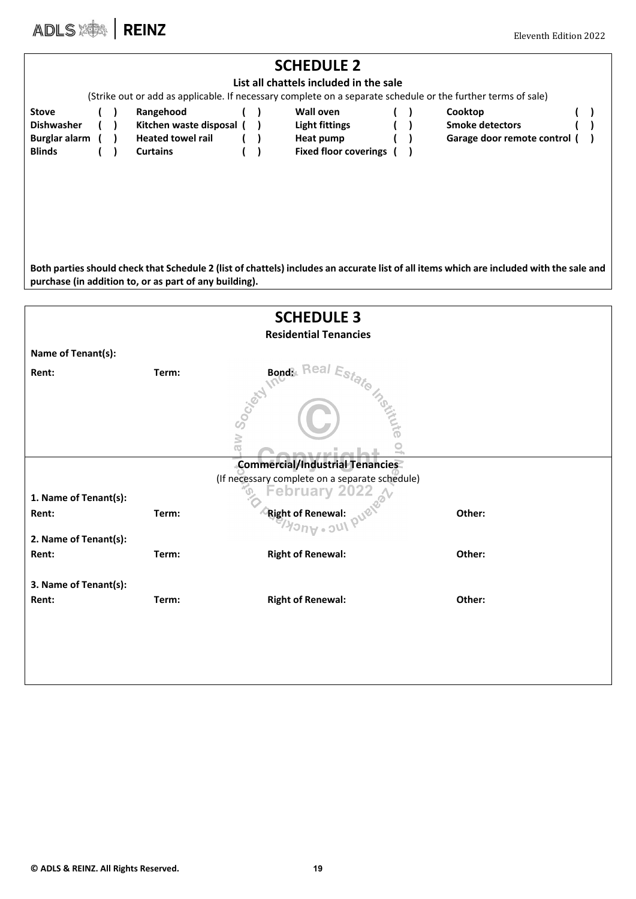ADLS SAN REINZ Eleventh Edition 2022

| <b>SCHEDULE 2</b><br>List all chattels included in the sale<br>(Strike out or add as applicable. If necessary complete on a separate schedule or the further terms of sale)                        |  |  |                                                                                      |  |  |                                                                                        |  |  |                                                                 |
|----------------------------------------------------------------------------------------------------------------------------------------------------------------------------------------------------|--|--|--------------------------------------------------------------------------------------|--|--|----------------------------------------------------------------------------------------|--|--|-----------------------------------------------------------------|
| <b>Stove</b><br><b>Dishwasher</b><br>Burglar alarm<br><b>Blinds</b>                                                                                                                                |  |  | Rangehood<br>Kitchen waste disposal (<br><b>Heated towel rail</b><br><b>Curtains</b> |  |  | <b>Wall oven</b><br><b>Light fittings</b><br>Heat pump<br><b>Fixed floor coverings</b> |  |  | Cooktop<br><b>Smoke detectors</b><br>Garage door remote control |
| Both parties should check that Schedule 2 (list of chattels) includes an accurate list of all items which are included with the sale and<br>purchase (in addition to, or as part of any building). |  |  |                                                                                      |  |  |                                                                                        |  |  |                                                                 |
| <b>SCHEDULE 3</b>                                                                                                                                                                                  |  |  |                                                                                      |  |  |                                                                                        |  |  |                                                                 |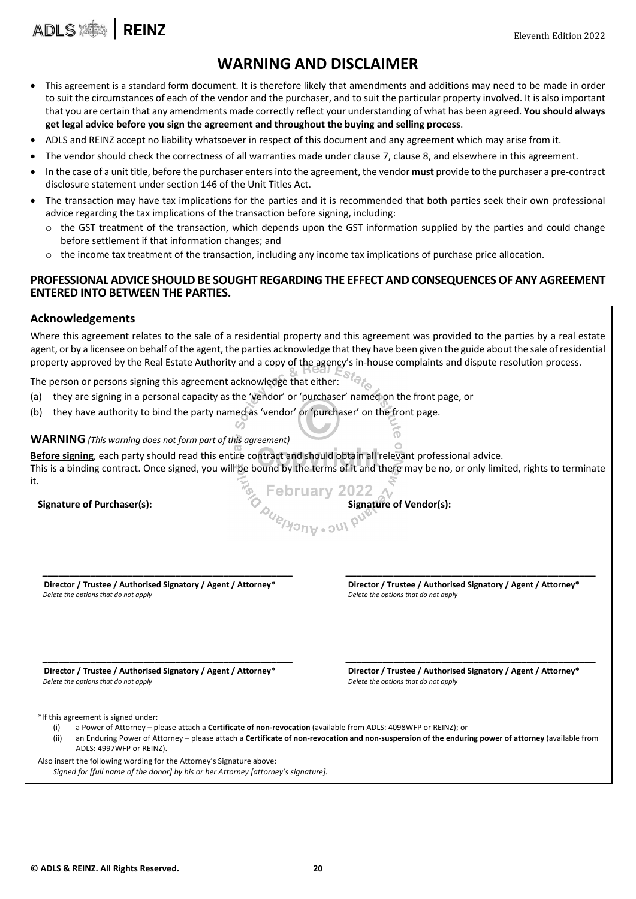

### WARNING AND DISCLAIMER

- This agreement is a standard form document. It is therefore likely that amendments and additions may need to be made in order to suit the circumstances of each of the vendor and the purchaser, and to suit the particular property involved. It is also important that you are certain that any amendments made correctly reflect your understanding of what has been agreed. You should always get legal advice before you sign the agreement and throughout the buying and selling process.
- ADLS and REINZ accept no liability whatsoever in respect of this document and any agreement which may arise from it.
- The vendor should check the correctness of all warranties made under clause 7, clause 8, and elsewhere in this agreement.
- In the case of a unit title, before the purchaser enters into the agreement, the vendor must provide to the purchaser a pre-contract disclosure statement under section 146 of the Unit Titles Act.
- The transaction may have tax implications for the parties and it is recommended that both parties seek their own professional advice regarding the tax implications of the transaction before signing, including:
	- $\circ$  the GST treatment of the transaction, which depends upon the GST information supplied by the parties and could change before settlement if that information changes; and
	- $\circ$  the income tax treatment of the transaction, including any income tax implications of purchase price allocation.

#### PROFESSIONAL ADVICE SHOULD BE SOUGHT REGARDING THE EFFECT AND CONSEQUENCES OF ANY AGREEMENT ENTERED INTO BETWEEN THE PARTIES.

#### Acknowledgements

ADLS **ADLS** 

Where this agreement relates to the sale of a residential property and this agreement was provided to the parties by a real estate agent, or by a licensee on behalf of the agent, the parties acknowledge that they have been given the guide about the sale ofresidential property approved by the Real Estate Authority and a copy of the agency's in-house complaints and dispute resolution process.

The person or persons signing this agreement acknowledge that either:

- (a) they are signing in a personal capacity as the 'vendor' or 'purchaser' named on the front page, or
- (b) they have authority to bind the party named as 'vendor' or 'purchaser' on the front page.

#### WARNING *(This warning does not form part of this agreement)*

Before signing, each party should read this entire contract and should obtain all relevant professional advice. This is a binding contract. Once signed, you will be bound by the terms of it and there may be no, or only limited, rights to terminate it. Signature of Purchaser(s):<br>Signature of Purchaser(s):<br> $\delta_{\text{M}_{\text{M}_{\text{O}}}}$  Signature of Vendor(s): **February 2022** 

\_\_\_\_\_\_\_\_\_\_\_\_\_\_\_\_\_\_\_\_\_\_\_\_\_\_\_\_\_\_\_\_\_\_\_\_\_\_\_\_\_\_\_\_\_\_\_ \_\_\_\_\_\_\_\_\_\_\_\_\_\_\_\_\_\_\_\_\_\_\_\_\_\_\_\_\_\_\_\_\_\_\_\_\_\_\_\_\_\_\_\_\_\_\_

 Director / Trustee / Authorised Signatory / Agent / Attorney\* Director / Trustee / Authorised Signatory / Agent / Attorney\* *Delete the options that do not apply Delete the options that do not apply*

 Director / Trustee / Authorised Signatory / Agent / Attorney\* Director / Trustee / Authorised Signatory / Agent / Attorney\* *Delete the options that do not apply Delete the options that do not apply*

\*If this agreement is signed under:

- (i) a Power of Attorney please attach a Certificate of non-revocation (available from ADLS: 4098WFP or REINZ); or
- (ii) an Enduring Power of Attorney please attach a Certificate of non-revocation and non-suspension of the enduring power of attorney (available from ADLS: 4997WFP or REINZ).

\_\_\_\_\_\_\_\_\_\_\_\_\_\_\_\_\_\_\_\_\_\_\_\_\_\_\_\_\_\_\_\_\_\_\_\_\_\_\_\_\_\_\_\_\_\_\_ \_\_\_\_\_\_\_\_\_\_\_\_\_\_\_\_\_\_\_\_\_\_\_\_\_\_\_\_\_\_\_\_\_\_\_\_\_\_\_\_\_\_\_\_\_\_\_

Also insert the following wording for the Attorney's Signature above:

*Signed for [full name of the donor] by his or her Attorney [attorney's signature].*